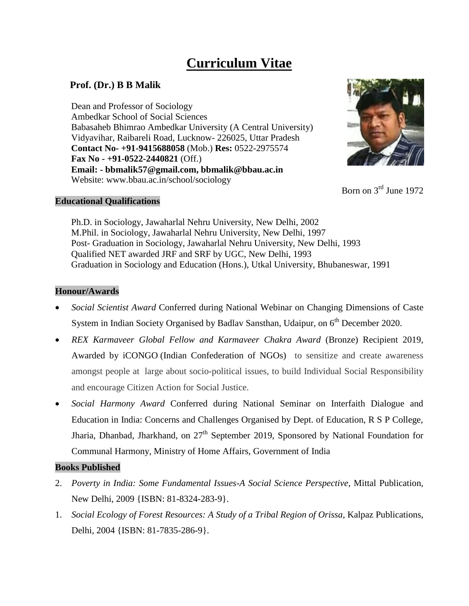# **Curriculum Vitae**

# **Prof. (Dr.) B B Malik**

Dean and Professor of Sociology Ambedkar School of Social Sciences Babasaheb Bhimrao Ambedkar University (A Central University) Vidyavihar, Raibareli Road, Lucknow- 226025, Uttar Pradesh  **Contact No- +91-9415688058** (Mob.) **Res:** 0522-2975574  **Fax No - +91-0522-2440821** (Off.) **Email: - bbmalik57@gmail.com, bbmalik@bbau.ac.in** Website: www.bbau.ac.in/school/sociology



Born on 3rd June 1972

## **Educational Qualifications**

 Ph.D. in Sociology, Jawaharlal Nehru University, New Delhi, 2002 M.Phil. in Sociology, Jawaharlal Nehru University, New Delhi, 1997 Post- Graduation in Sociology, Jawaharlal Nehru University, New Delhi, 1993 Qualified NET awarded JRF and SRF by UGC, New Delhi, 1993 Graduation in Sociology and Education (Hons.), Utkal University, Bhubaneswar, 1991

## **Honour/Awards**

- *Social Scientist Award* Conferred during National Webinar on Changing Dimensions of Caste System in Indian Society Organised by Badlav Sansthan, Udaipur, on  $6<sup>th</sup>$  December 2020.
- *REX Karmaveer Global Fellow and Karmaveer Chakra Award* (Bronze) Recipient 2019, Awarded by iCONGO (Indian Confederation of NGOs) to sensitize and create awareness amongst people at large about socio-political issues, to build Individual Social Responsibility and encourage Citizen Action for Social Justice.
- *Social Harmony Award* Conferred during National Seminar on Interfaith Dialogue and Education in India: Concerns and Challenges Organised by Dept. of Education, R S P College, Jharia, Dhanbad, Jharkhand, on  $27<sup>th</sup>$  September 2019, Sponsored by National Foundation for Communal Harmony, Ministry of Home Affairs, Government of India

## **Books Published**

- 2. *Poverty in India: Some Fundamental Issues-A Social Science Perspective*, Mittal Publication, New Delhi, 2009 {ISBN: 81-8324-283-9}.
- 1. *Social Ecology of Forest Resources: A Study of a Tribal Region of Orissa*, Kalpaz Publications, Delhi, 2004 {ISBN: 81-7835-286-9}.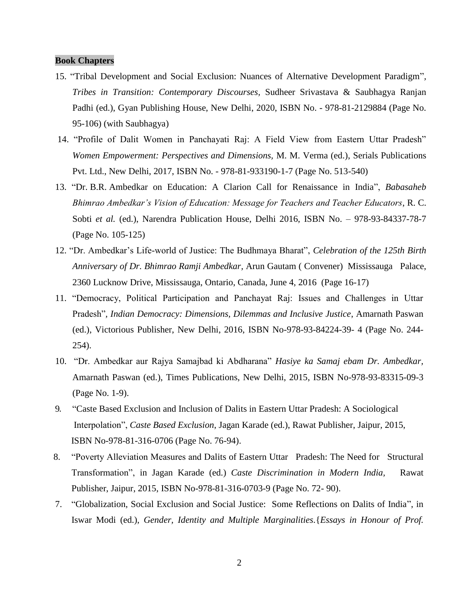#### **Book Chapters**

- 15. "Tribal Development and Social Exclusion: Nuances of Alternative Development Paradigm"*, Tribes in Transition: Contemporary Discourses,* Sudheer Srivastava & Saubhagya Ranjan Padhi (ed.), Gyan Publishing House, New Delhi, 2020, ISBN No. - 978-81-2129884 (Page No. 95-106) (with Saubhagya)
- 14. "Profile of Dalit Women in Panchayati Raj: A Field View from Eastern Uttar Pradesh" *Women Empowerment: Perspectives and Dimensions,* M. M. Verma (ed.), Serials Publications Pvt. Ltd., New Delhi, 2017, ISBN No. - 978-81-933190-1-7 (Page No. 513-540)
- 13. "Dr. B.R. [Ambedkar on Education: A Clarion Call for Renaissance in India"](https://kbget1-a.akamaihd.net/koboid-prod-public/12_chapter5.xhtml), *Babasaheb Bhimrao Ambedkar's Vision of Education: Message for Teachers and Teacher Educators*, R. C. Sobti *et al.* (ed.), Narendra Publication House, Delhi 2016, ISBN No. – 978-93-84337-78-7 (Page No. 105-125)
- 12. "Dr. Ambedkar's Life-world of Justice: The Budhmaya Bharat", *Celebration of the 125th Birth Anniversary of Dr. Bhimrao Ramji Ambedkar,* Arun Gautam ( Convener) Mississauga Palace, 2360 Lucknow Drive, Mississauga, Ontario, Canada, June 4, 2016 (Page 16-17)
- 11. "Democracy, Political Participation and Panchayat Raj: Issues and Challenges in Uttar Pradesh"*, Indian Democracy: Dimensions, Dilemmas and Inclusive Justice*, Amarnath Paswan (ed.), Victorious Publisher, New Delhi, 2016, ISBN No-978-93-84224-39- 4 (Page No. 244- 254).
- 10. "Dr. Ambedkar aur Rajya Samajbad ki Abdharana" *Hasiye ka Samaj ebam Dr. Ambedkar,*  Amarnath Paswan (ed.), Times Publications, New Delhi, 2015, ISBN No-978-93-83315-09-3 (Page No. 1-9).
- 9*.* "Caste Based Exclusion and Inclusion of Dalits in Eastern Uttar Pradesh: A Sociological Interpolation", *Caste Based Exclusion*, Jagan Karade (ed.), Rawat Publisher, Jaipur*,* 2015, ISBN No-978-81-316-0706 (Page No. 76-94).
- 8. "Poverty Alleviation Measures and Dalits of Eastern Uttar Pradesh: The Need for Structural Transformation", in Jagan Karade (ed.) *Caste Discrimination in Modern India,* Rawat Publisher, Jaipur, 2015, ISBN No-978-81-316-0703-9 (Page No. 72- 90).
- 7. "Globalization, Social Exclusion and Social Justice: Some Reflections on Dalits of India", in Iswar Modi (ed.), *Gender, Identity and Multiple Marginalities.*{*Essays in Honour of Prof.*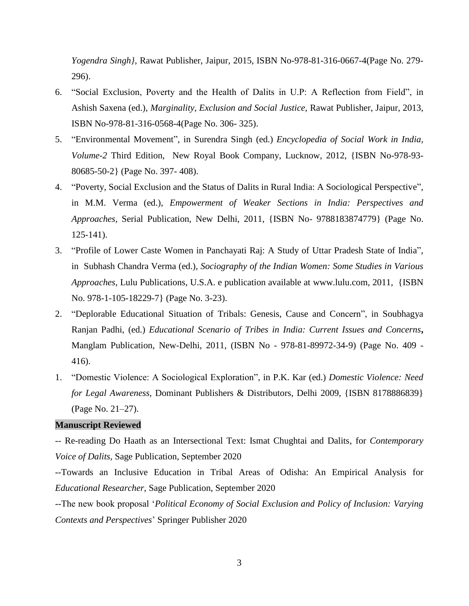*Yogendra Singh}*, Rawat Publisher, Jaipur, 2015, ISBN No-978-81-316-0667-4(Page No. 279- 296).

- 6. "Social Exclusion, Poverty and the Health of Dalits in U.P: A Reflection from Field", in Ashish Saxena (ed.), *Marginality, Exclusion and Social Justice,* Rawat Publisher, Jaipur, 2013, ISBN No-978-81-316-0568-4(Page No. 306- 325).
- 5. "Environmental Movement", in Surendra Singh (ed.) *Encyclopedia of Social Work in India, Volume-2* Third Edition*,* New Royal Book Company, Lucknow, 2012, {ISBN No-978-93- 80685-50-2} (Page No. 397- 408).
- 4. "Poverty, Social Exclusion and the Status of Dalits in Rural India: A Sociological Perspective", in M.M. Verma (ed.), *Empowerment of Weaker Sections in India: Perspectives and Approaches,* Serial Publication, New Delhi, 2011, {ISBN No- 9788183874779} (Page No. 125-141).
- 3. "Profile of Lower Caste Women in Panchayati Raj: A Study of Uttar Pradesh State of India", in Subhash Chandra Verma (ed.), *Sociography of the Indian Women: Some Studies in Various Approaches*, Lulu Publications, U.S.A. e publication available at [www.lulu.com,](http://www.lulu.com/) 2011, {ISBN No. 978-1-105-18229-7} (Page No. 3-23).
- 2. "Deplorable Educational Situation of Tribals: Genesis, Cause and Concern", in Soubhagya Ranjan Padhi, (ed.) *Educational Scenario of Tribes in India: Current Issues and Concerns***,**  Manglam Publication, New-Delhi, 2011, (ISBN No - 978-81-89972-34-9) (Page No. 409 - 416).
- 1. "Domestic Violence: A Sociological Exploration", in P.K. Kar (ed.) *Domestic Violence: Need for Legal Awareness,* Dominant Publishers & Distributors, Delhi 2009, {ISBN 8178886839} (Page No. 21–27).

## **Manuscript Reviewed**

-- Re-reading Do Haath as an Intersectional Text: Ismat Chughtai and Dalits, for *Contemporary Voice of Dalits,* Sage Publication, September 2020

--Towards an Inclusive Education in Tribal Areas of Odisha: An Empirical Analysis for *Educational Researcher*, Sage Publication, September 2020

--The new book proposal '*Political Economy of Social Exclusion and Policy of Inclusion: Varying Contexts and Perspectives*' Springer Publisher 2020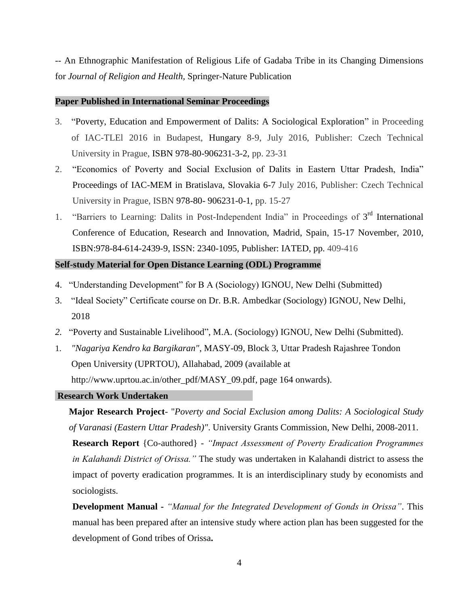-- An Ethnographic Manifestation of Religious Life of Gadaba Tribe in its Changing Dimensions for *Journal of Religion and Health,* Springer-Nature Publication

#### **Paper Published in International Seminar Proceedings**

- 3. "Poverty, Education and Empowerment of Dalits: A Sociological Exploration" in Proceeding of IAC-TLEl 2016 in Budapest, Hungary 8-9, July 2016, Publisher: Czech Technical University in Prague, ISBN 978-80-906231-3-2, pp. 23-31
- 2. "Economics of Poverty and Social Exclusion of Dalits in Eastern Uttar Pradesh, India" Proceedings of IAC-MEM in Bratislava, Slovakia 6-7 July 2016, Publisher: Czech Technical University in Prague, ISBN 978-80- 906231-0-1, pp. 15-27
- 1. "Barriers to Learning: Dalits in Post-Independent India" in Proceedings of  $3<sup>rd</sup>$  International Conference of Education, Research and Innovation, Madrid, Spain, 15-17 November, 2010, ISBN:978-84-614-2439-9, ISSN: 2340-1095, Publisher: IATED, pp. 409-416

#### **Self-study Material for Open Distance Learning (ODL) Programme**

- 4. "Understanding Development" for B A (Sociology) IGNOU, New Delhi (Submitted)
- 3. "Ideal Society" Certificate course on Dr. B.R. Ambedkar (Sociology) IGNOU, New Delhi, 2018
- *2.* "Poverty and Sustainable Livelihood", M.A. (Sociology) IGNOU, New Delhi (Submitted).
- 1. *"Nagariya Kendro ka Bargikaran"*, MASY-09, Block 3, Uttar Pradesh Rajashree Tondon Open University (UPRTOU), Allahabad, 2009 (available at [http://www.uprtou.ac.in/other\\_pdf/MASY\\_09.pdf,](http://www.uprtou.ac.in/other_pdf/MASY_09.pdf) page 164 onwards).

#### **Research Work Undertaken**

**Major Research Project**- "*Poverty and Social Exclusion among Dalits: A Sociological Study of Varanasi (Eastern Uttar Pradesh)"*. University Grants Commission, New Delhi, 2008-2011.

**Research Report** {Co-authored} *- "Impact Assessment of Poverty Eradication Programmes in Kalahandi District of Orissa."* The study was undertaken in Kalahandi district to assess the impact of poverty eradication programmes. It is an interdisciplinary study by economists and sociologists.

**Development Manual -** *"Manual for the Integrated Development of Gonds in Orissa"*. This manual has been prepared after an intensive study where action plan has been suggested for the development of Gond tribes of Orissa**.**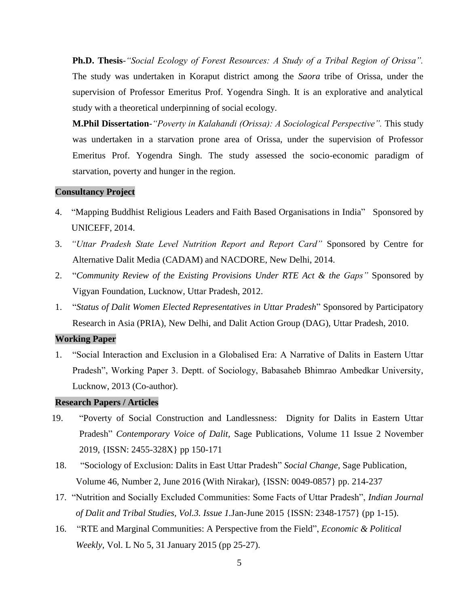**Ph.D. Thesis**-*"Social Ecology of Forest Resources: A Study of a Tribal Region of Orissa".*  The study was undertaken in Koraput district among the *Saora* tribe of Orissa, under the supervision of Professor Emeritus Prof. Yogendra Singh. It is an explorative and analytical study with a theoretical underpinning of social ecology.

**M.Phil Dissertation***-"Poverty in Kalahandi (Orissa): A Sociological Perspective".* This study was undertaken in a starvation prone area of Orissa, under the supervision of Professor Emeritus Prof. Yogendra Singh. The study assessed the socio-economic paradigm of starvation, poverty and hunger in the region.

#### **Consultancy Project**

- 4. "Mapping Buddhist Religious Leaders and Faith Based Organisations in India" Sponsored by UNICEFF, 2014.
- 3. *"Uttar Pradesh State Level Nutrition Report and Report Card"* Sponsored by Centre for Alternative Dalit Media (CADAM) and NACDORE, New Delhi, 2014.
- 2. "*Community Review of the Existing Provisions Under RTE Act & the Gaps"* Sponsored by Vigyan Foundation, Lucknow, Uttar Pradesh, 2012.
- 1. "*Status of Dalit Women Elected Representatives in Uttar Pradesh*" Sponsored by Participatory Research in Asia (PRIA), New Delhi, and Dalit Action Group (DAG), Uttar Pradesh, 2010.

#### **Working Paper**

1. "Social Interaction and Exclusion in a Globalised Era: A Narrative of Dalits in Eastern Uttar Pradesh", Working Paper 3. Deptt. of Sociology, Babasaheb Bhimrao Ambedkar University, Lucknow, 2013 (Co-author).

#### **Research Papers / Articles**

- 19. "Poverty of Social Construction and Landlessness: Dignity for Dalits in Eastern Uttar Pradesh" *Contemporary Voice of Dalit,* Sage Publications, Volume 11 Issue 2 November 2019, {ISSN: 2455-328X} pp 150-171
- 18. "Sociology of Exclusion: Dalits in East Uttar Pradesh" *Social Change,* Sage Publication, Volume 46, Number 2, June 2016 (With Nirakar), {ISSN: 0049-0857} pp. 214-237
- 17. "Nutrition and Socially Excluded Communities: Some Facts of Uttar Pradesh", *Indian Journal of Dalit and Tribal Studies, Vol.3. Issue 1.*Jan-June 2015 {ISSN: 2348-1757} (pp 1-15).
- 16. "RTE and Marginal Communities: A Perspective from the Field", *Economic & Political Weekly,* Vol. L No 5, 31 January 2015 (pp 25-27).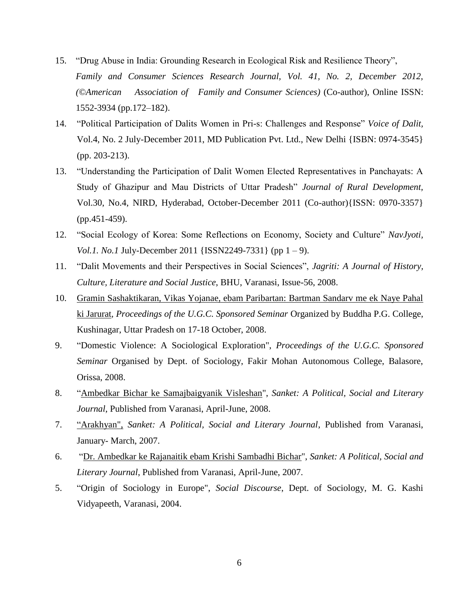- 15. "Drug Abuse in India: Grounding Research in Ecological Risk and Resilience Theory", *Family and Consumer Sciences Research Journal, Vol. 41, No. 2, December 2012, (©American Association of Family and Consumer Sciences)* (Co-author), Online ISSN: 1552-3934 (pp.172–182).
- 14. "Political Participation of Dalits Women in Pri-s: Challenges and Response" *Voice of Dalit,*  Vol.4, No. 2 July-December 2011, MD Publication Pvt. Ltd., New Delhi {ISBN: 0974-3545} (pp. 203-213).
- 13. "Understanding the Participation of Dalit Women Elected Representatives in Panchayats: A Study of Ghazipur and Mau Districts of Uttar Pradesh" *Journal of Rural Development,* Vol.30, No.4, NIRD, Hyderabad, October-December 2011 (Co-author){ISSN: 0970-3357} (pp.451-459).
- 12. "Social Ecology of Korea: Some Reflections on Economy, Society and Culture" *NavJyoti, Vol.1. No.1* July-December 2011 {ISSN2249-7331} (pp 1 – 9).
- 11. "Dalit Movements and their Perspectives in Social Sciences", *Jagriti: A Journal of History, Culture, Literature and Social Justice*, BHU, Varanasi, Issue-56, 2008.
- 10. Gramin Sashaktikaran, Vikas Yojanae, ebam Paribartan: Bartman Sandarv me ek Naye Pahal ki Jarurat*, Proceedings of the U.G.C. Sponsored Seminar* Organized by Buddha P.G. College, Kushinagar, Uttar Pradesh on 17-18 October, 2008.
- 9. "Domestic Violence: A Sociological Exploration", *Proceedings of the U.G.C. Sponsored Seminar* Organised by Dept. of Sociology, Fakir Mohan Autonomous College, Balasore, Orissa, 2008.
- 8. "Ambedkar Bichar ke Samajbaigyanik Visleshan", *Sanket: A Political, Social and Literary Journal*, Published from Varanasi, April-June, 2008.
- 7. "Arakhyan", *Sanket: A Political, Social and Literary Journal*, Published from Varanasi, January- March, 2007.
- 6. "Dr. Ambedkar ke Rajanaitik ebam Krishi Sambadhi Bichar", *Sanket: A Political, Social and Literary Journal*, Published from Varanasi, April-June, 2007.
- 5. "Origin of Sociology in Europe", *Social Discourse*, Dept. of Sociology, M. G. Kashi Vidyapeeth, Varanasi, 2004.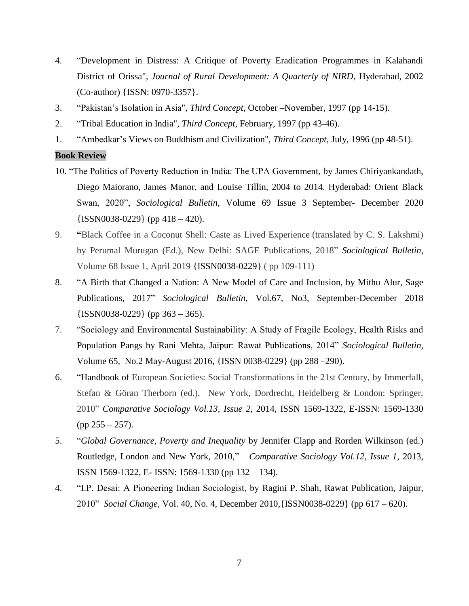- 4. "Development in Distress: A Critique of Poverty Eradication Programmes in Kalahandi District of Orissa"*, Journal of Rural Development: A Quarterly of NIRD*, Hyderabad, 2002 (Co-author) {ISSN: 0970-3357}.
- 3. "Pakistan's Isolation in Asia", *Third Concept,* October –November, 1997 (pp 14-15).
- 2. "Tribal Education in India", *Third Concept*, February, 1997 (pp 43-46).
- 1. "Ambedkar's Views on Buddhism and Civilization", *Third Concept*, July, 1996 (pp 48-51).

#### **Book Review**

- 10. "The Politics of Poverty Reduction in India: The UPA Government, by James Chiriyankandath, Diego Maiorano, James Manor, and Louise Tillin, 2004 to 2014. Hyderabad: Orient Black Swan, 2020", *Sociological Bulletin*, Volume 69 Issue 3 September- December 2020  ${ISSN0038-0229}$  (pp 418 – 420).
- 9. **"**Black Coffee in a Coconut Shell: Caste as Lived Experience (translated by C. S. Lakshmi) by Perumal Murugan (Ed.), New Delhi: SAGE Publications, 2018" *Sociological Bulletin*, Volume 68 Issue 1, April 2019 {ISSN0038-0229} ( pp 109-111)
- 8. "A Birth that Changed a Nation: A New Model of Care and Inclusion, by Mithu Alur, Sage Publications, 2017" *Sociological Bulletin*, Vol.67, No3, September-December 2018  ${ISSN0038-0229}$  (pp 363 – 365).
- 7. "Sociology and Environmental Sustainability: A Study of Fragile Ecology, Health Risks and Population Pangs by Rani Mehta, Jaipur: Rawat Publications, 2014" *Sociological Bulletin,*  Volume 65, No.2 May-August 2016, {ISSN 0038-0229} (pp 288 –290).
- 6. "Handbook of European Societies: Social Transformations in the 21st Century, by Immerfall, Stefan & Göran Therborn (ed.), New York, Dordrecht, Heidelberg & London: Springer, 2010" *Comparative Sociology Vol.13, Issue 2,* 2014, ISSN 1569-1322, E-ISSN: 1569-1330  $(pp 255 - 257)$ .
- 5. "*Global Governance, Poverty and Inequality* by Jennifer Clapp and Rorden Wilkinson (ed.) Routledge, London and New York, 2010," *Comparative Sociology Vol.12, Issue 1*, 2013, ISSN 1569-1322, E- ISSN: 1569-1330 (pp 132 – 134).
- 4. "I.P. Desai: A Pioneering Indian Sociologist, by Ragini P. Shah, Rawat Publication, Jaipur, 2010" *Social Change,* Vol. 40, No. 4, December 2010,{ISSN0038-0229} (pp 617 – 620).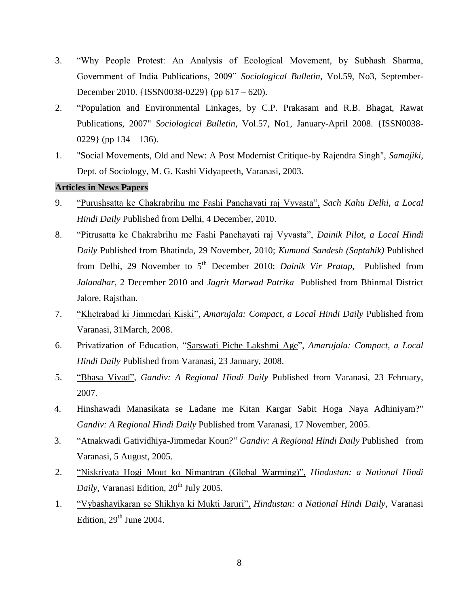- 3. "Why People Protest: An Analysis of Ecological Movement, by Subhash Sharma, Government of India Publications, 2009" *Sociological Bulletin*, Vol.59, No3, September-December 2010. {ISSN0038-0229} (pp 617 – 620).
- 2. "Population and Environmental Linkages, by C.P. Prakasam and R.B. Bhagat, Rawat Publications, 2007" *Sociological Bulletin*, Vol.57, No1, January-April 2008. {ISSN0038- 0229} (pp  $134 - 136$ ).
- 1. "Social Movements, Old and New: A Post Modernist Critique-by Rajendra Singh", *Samajiki,* Dept. of Sociology, M. G. Kashi Vidyapeeth, Varanasi, 2003.

#### **Articles in News Papers**

- 9. "Purushsatta ke Chakrabrihu me Fashi Panchayati raj Vyvasta", *Sach Kahu Delhi, a Local Hindi Daily* Published from Delhi, 4 December, 2010.
- 8. "Pitrusatta ke Chakrabrihu me Fashi Panchayati raj Vyvasta", *Dainik Pilot, a Local Hindi Daily* Published from Bhatinda, 29 November, 2010; *Kumund Sandesh (Saptahik)* Published from Delhi, 29 November to 5<sup>th</sup> December 2010; *Dainik Vir Pratap*, Published from *Jalandhar,* 2 December 2010 and *Jagrit Marwad Patrika* Published from Bhinmal District Jalore, Rajsthan.
- 7. "Khetrabad ki Jimmedari Kiski", *Amarujala: Compact, a Local Hindi Daily* Published from Varanasi, 31March, 2008.
- 6. Privatization of Education, "Sarswati Piche Lakshmi Age", *Amarujala: Compact, a Local Hindi Daily* Published from Varanasi, 23 January, 2008.
- 5. "Bhasa Vivad", *Gandiv: A Regional Hindi Daily* Published from Varanasi, 23 February, 2007.
- 4. Hinshawadi Manasikata se Ladane me Kitan Kargar Sabit Hoga Naya Adhiniyam?" *Gandiv: A Regional Hindi Daily* Published from Varanasi, 17 November, 2005.
- 3. "Atnakwadi Gatividhiya-Jimmedar Koun?" *Gandiv: A Regional Hindi Daily* Published from Varanasi, 5 August, 2005.
- 2. "Niskriyata Hogi Mout ko Nimantran (Global Warming)", *Hindustan: a National Hindi Daily*, Varanasi Edition, 20<sup>th</sup> July 2005.
- 1. "Vybashayikaran se Shikhya ki Mukti Jaruri", *Hindustan: a National Hindi Daily*, Varanasi Edition,  $29<sup>th</sup>$  June 2004.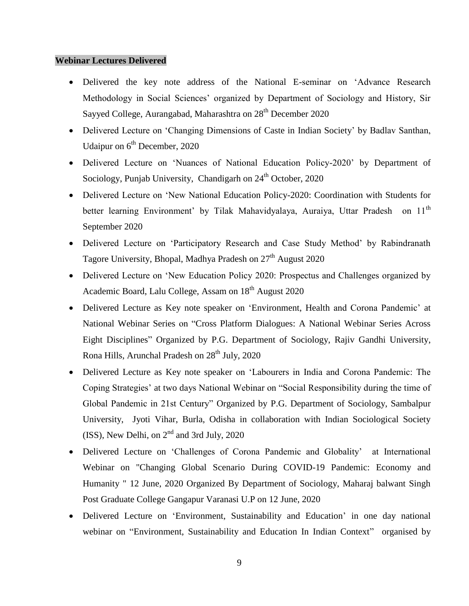#### **Webinar Lectures Delivered**

- Delivered the key note address of the National E-seminar on 'Advance Research Methodology in Social Sciences' organized by Department of Sociology and History, Sir Sayyed College, Aurangabad, Maharashtra on 28<sup>th</sup> December 2020
- Delivered Lecture on 'Changing Dimensions of Caste in Indian Society' by Badlav Santhan, Udaipur on  $6<sup>th</sup>$  December, 2020
- Delivered Lecture on 'Nuances of National Education Policy-2020' by Department of Sociology, Punjab University, Chandigarh on  $24<sup>th</sup>$  October, 2020
- Delivered Lecture on 'New National Education Policy-2020: Coordination with Students for better learning Environment' by Tilak Mahavidyalaya, Auraiya, Uttar Pradesh on 11<sup>th</sup> September 2020
- Delivered Lecture on 'Participatory Research and Case Study Method' by Rabindranath Tagore University, Bhopal, Madhya Pradesh on 27<sup>th</sup> August 2020
- Delivered Lecture on 'New Education Policy 2020: Prospectus and Challenges organized by Academic Board, Lalu College, Assam on 18<sup>th</sup> August 2020
- Delivered Lecture as Key note speaker on 'Environment, Health and Corona Pandemic' at National Webinar Series on "Cross Platform Dialogues: A National Webinar Series Across Eight Disciplines" Organized by P.G. Department of Sociology, Rajiv Gandhi University, Rona Hills, Arunchal Pradesh on 28<sup>th</sup> July, 2020
- Delivered Lecture as Key note speaker on 'Labourers in India and Corona Pandemic: The Coping Strategies' at two days National Webinar on "Social Responsibility during the time of Global Pandemic in 21st Century" Organized by P.G. Department of Sociology, Sambalpur University, Jyoti Vihar, Burla, Odisha in collaboration with Indian Sociological Society (ISS), New Delhi, on  $2<sup>nd</sup>$  and 3rd July, 2020
- Delivered Lecture on 'Challenges of Corona Pandemic and Globality' at International Webinar on "Changing Global Scenario During COVID-19 Pandemic: Economy and Humanity " 12 June, 2020 Organized By Department of Sociology, Maharaj balwant Singh Post Graduate College Gangapur Varanasi U.P on 12 June, 2020
- Delivered Lecture on 'Environment, Sustainability and Education' in one day national webinar on "Environment, Sustainability and Education In Indian Context" organised by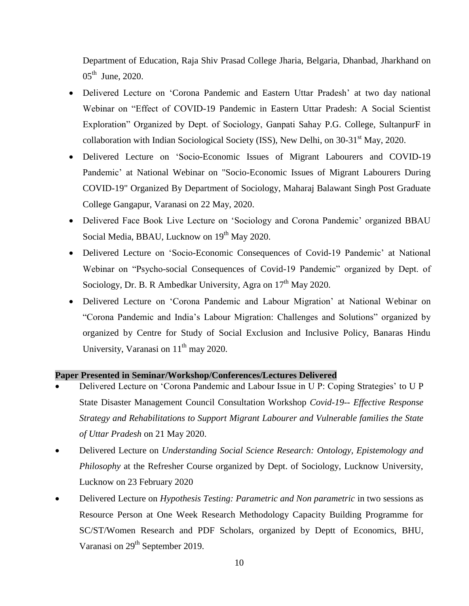Department of Education, Raja Shiv Prasad College Jharia, Belgaria, Dhanbad, Jharkhand on  $05^{\text{th}}$  June, 2020.

- Delivered Lecture on 'Corona Pandemic and Eastern Uttar Pradesh' at two day national Webinar on "Effect of COVID-19 Pandemic in Eastern Uttar Pradesh: A Social Scientist Exploration" Organized by Dept. of Sociology, Ganpati Sahay P.G. College, SultanpurF in collaboration with Indian Sociological Society (ISS), New Delhi, on  $30-31<sup>st</sup>$  May, 2020.
- Delivered Lecture on 'Socio-Economic Issues of Migrant Labourers and COVID-19 Pandemic' at National Webinar on "Socio-Economic Issues of Migrant Labourers During COVID-19" Organized By Department of Sociology, Maharaj Balawant Singh Post Graduate College Gangapur, Varanasi on 22 May, 2020.
- Delivered Face Book Live Lecture on 'Sociology and Corona Pandemic' organized BBAU Social Media, BBAU, Lucknow on 19<sup>th</sup> May 2020.
- Delivered Lecture on 'Socio-Economic Consequences of Covid-19 Pandemic' at National Webinar on "Psycho-social Consequences of Covid-19 Pandemic" organized by Dept. of Sociology, Dr. B. R Ambedkar University, Agra on  $17<sup>th</sup>$  May 2020.
- Delivered Lecture on 'Corona Pandemic and Labour Migration' at National Webinar on "Corona Pandemic and India's Labour Migration: Challenges and Solutions" organized by organized by Centre for Study of Social Exclusion and Inclusive Policy, Banaras Hindu University, Varanasi on  $11<sup>th</sup>$  may 2020.

#### **Paper Presented in Seminar/Workshop/Conferences/Lectures Delivered**

- Delivered Lecture on 'Corona Pandemic and Labour Issue in U P: Coping Strategies' to U P State Disaster Management Council Consultation Workshop *Covid-19-- Effective Response Strategy and Rehabilitations to Support Migrant Labourer and Vulnerable families the State of Uttar Pradesh* on 21 May 2020.
- Delivered Lecture on *Understanding Social Science Research: Ontology, Epistemology and Philosophy* at the Refresher Course organized by Dept. of Sociology, Lucknow University, Lucknow on 23 February 2020
- Delivered Lecture on *Hypothesis Testing: Parametric and Non parametric* in two sessions as Resource Person at One Week Research Methodology Capacity Building Programme for SC/ST/Women Research and PDF Scholars, organized by Deptt of Economics, BHU, Varanasi on 29<sup>th</sup> September 2019.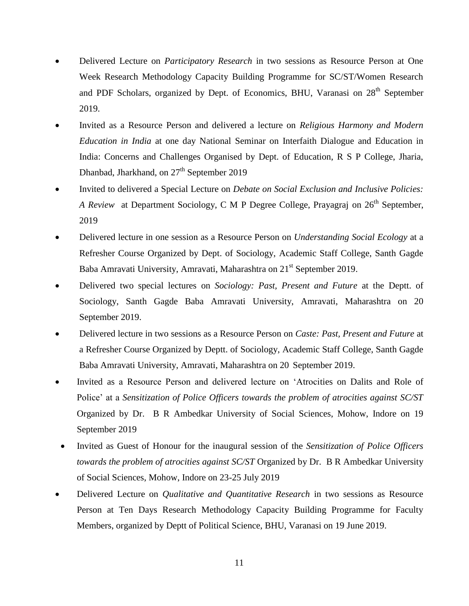- Delivered Lecture on *Participatory Research* in two sessions as Resource Person at One Week Research Methodology Capacity Building Programme for SC/ST/Women Research and PDF Scholars, organized by Dept. of Economics, BHU, Varanasi on 28<sup>th</sup> September 2019.
- Invited as a Resource Person and delivered a lecture on *Religious Harmony and Modern Education in India* at one day National Seminar on Interfaith Dialogue and Education in India: Concerns and Challenges Organised by Dept. of Education, R S P College, Jharia, Dhanbad, Jharkhand, on 27<sup>th</sup> September 2019
- Invited to delivered a Special Lecture on *Debate on Social Exclusion and Inclusive Policies: A Review* at Department Sociology, C M P Degree College, Prayagraj on 26<sup>th</sup> September, 2019
- Delivered lecture in one session as a Resource Person on *Understanding Social Ecology* at a Refresher Course Organized by Dept. of Sociology, Academic Staff College, Santh Gagde Baba Amravati University, Amravati, Maharashtra on 21<sup>st</sup> September 2019.
- Delivered two special lectures on *Sociology: Past, Present and Future* at the Deptt. of Sociology, Santh Gagde Baba Amravati University, Amravati, Maharashtra on 20 September 2019.
- Delivered lecture in two sessions as a Resource Person on *Caste: Past, Present and Future* at a Refresher Course Organized by Deptt. of Sociology, Academic Staff College, Santh Gagde Baba Amravati University, Amravati, Maharashtra on 20 September 2019.
- Invited as a Resource Person and delivered lecture on 'Atrocities on Dalits and Role of Police' at a *Sensitization of Police Officers towards the problem of atrocities against SC/ST* Organized by Dr. B R Ambedkar University of Social Sciences, Mohow, Indore on 19 September 2019
- Invited as Guest of Honour for the inaugural session of the *Sensitization of Police Officers towards the problem of atrocities against SC/ST* Organized by Dr. B R Ambedkar University of Social Sciences, Mohow, Indore on 23-25 July 2019
- Delivered Lecture on *Qualitative and Quantitative Research* in two sessions as Resource Person at Ten Days Research Methodology Capacity Building Programme for Faculty Members, organized by Deptt of Political Science, BHU, Varanasi on 19 June 2019.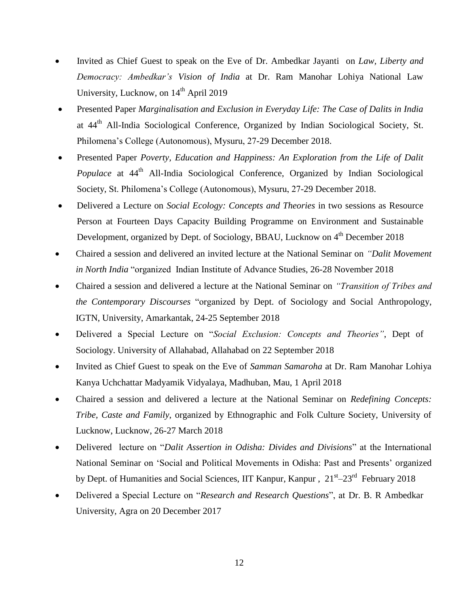- Invited as Chief Guest to speak on the Eve of Dr. Ambedkar Jayanti on *Law, Liberty and Democracy: Ambedkar's Vision of India* at Dr. Ram Manohar Lohiya National Law University, Lucknow, on  $14<sup>th</sup>$  April 2019
- Presented Paper *Marginalisation and Exclusion in Everyday Life: The Case of Dalits in India* at 44th All-India Sociological Conference, Organized by Indian Sociological Society, St. Philomena's College (Autonomous), Mysuru, 27-29 December 2018.
- Presented Paper *Poverty, Education and Happiness: An Exploration from the Life of Dalit Populace* at 44<sup>th</sup> All-India Sociological Conference, Organized by Indian Sociological Society, St. Philomena's College (Autonomous), Mysuru, 27-29 December 2018.
- Delivered a Lecture on *Social Ecology: Concepts and Theories* in two sessions as Resource Person at Fourteen Days Capacity Building Programme on Environment and Sustainable Development, organized by Dept. of Sociology, BBAU, Lucknow on 4<sup>th</sup> December 2018
- Chaired a session and delivered an invited lecture at the National Seminar on *"Dalit Movement in North India* "organized Indian Institute of Advance Studies, 26-28 November 2018
- Chaired a session and delivered a lecture at the National Seminar on *"Transition of Tribes and the Contemporary Discourses* "organized by Dept. of Sociology and Social Anthropology, IGTN, University, Amarkantak, 24-25 September 2018
- Delivered a Special Lecture on "*Social Exclusion: Concepts and Theories"*, Dept of Sociology. University of Allahabad, Allahabad on 22 September 2018
- Invited as Chief Guest to speak on the Eve of *Samman Samaroha* at Dr. Ram Manohar Lohiya Kanya Uchchattar Madyamik Vidyalaya, Madhuban, Mau, 1 April 2018
- Chaired a session and delivered a lecture at the National Seminar on *Redefining Concepts: Tribe, Caste and Family*, organized by Ethnographic and Folk Culture Society, University of Lucknow, Lucknow, 26-27 March 2018
- Delivered lecture on "*Dalit Assertion in Odisha: Divides and Divisions*" at the International National Seminar on 'Social and Political Movements in Odisha: Past and Presents' organized by Dept. of Humanities and Social Sciences, IIT Kanpur, Kanpur,  $21<sup>st</sup>-23<sup>rd</sup>$  February 2018
- Delivered a Special Lecture on "*Research and Research Questions*", at Dr. B. R Ambedkar University, Agra on 20 December 2017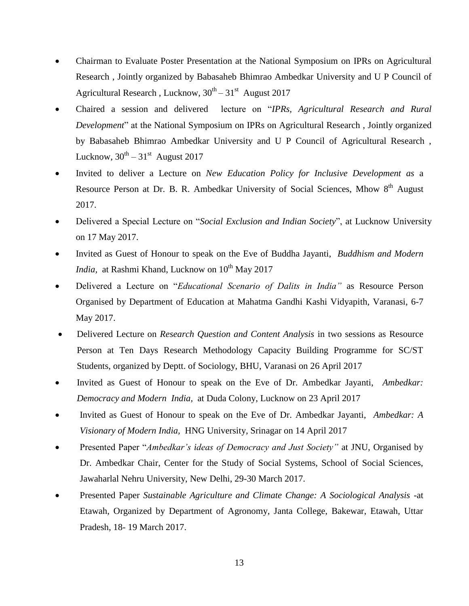- Chairman to Evaluate Poster Presentation at the National Symposium on IPRs on Agricultural Research , Jointly organized by Babasaheb Bhimrao Ambedkar University and U P Council of Agricultural Research, Lucknow,  $30^{th} - 31^{st}$  August 2017
- Chaired a session and delivered lecture on "*IPRs, Agricultural Research and Rural Development*" at the National Symposium on IPRs on Agricultural Research , Jointly organized by Babasaheb Bhimrao Ambedkar University and U P Council of Agricultural Research , Lucknow,  $30^{\text{th}} - 31^{\text{st}}$  August 2017
- Invited to deliver a Lecture on *New Education Policy for Inclusive Development as* a Resource Person at Dr. B. R. Ambedkar University of Social Sciences, Mhow 8<sup>th</sup> August 2017.
- Delivered a Special Lecture on "*Social Exclusion and Indian Society*", at Lucknow University on 17 May 2017.
- Invited as Guest of Honour to speak on the Eve of Buddha Jayanti, *Buddhism and Modern India*, at Rashmi Khand, Lucknow on 10<sup>th</sup> May 2017
- Delivered a Lecture on "*Educational Scenario of Dalits in India"* as Resource Person Organised by Department of Education at Mahatma Gandhi Kashi Vidyapith, Varanasi, 6-7 May 2017.
- Delivered Lecture on *Research Question and Content Analysis* in two sessions as Resource Person at Ten Days Research Methodology Capacity Building Programme for SC/ST Students, organized by Deptt. of Sociology, BHU, Varanasi on 26 April 2017
- Invited as Guest of Honour to speak on the Eve of Dr. Ambedkar Jayanti, *Ambedkar: Democracy and Modern India,* at Duda Colony, Lucknow on 23 April 2017
- Invited as Guest of Honour to speak on the Eve of Dr. Ambedkar Jayanti, *Ambedkar: A Visionary of Modern India,* HNG University, Srinagar on 14 April 2017
- Presented Paper "*Ambedkar's ideas of Democracy and Just Society"* at JNU, Organised by Dr. Ambedkar Chair, Center for the Study of Social Systems, School of Social Sciences, Jawaharlal Nehru University, New Delhi, 29-30 March 2017.
- Presented Paper *Sustainable Agriculture and Climate Change: A Sociological Analysis -*at Etawah, Organized by Department of Agronomy, Janta College, Bakewar, Etawah, Uttar Pradesh, 18- 19 March 2017.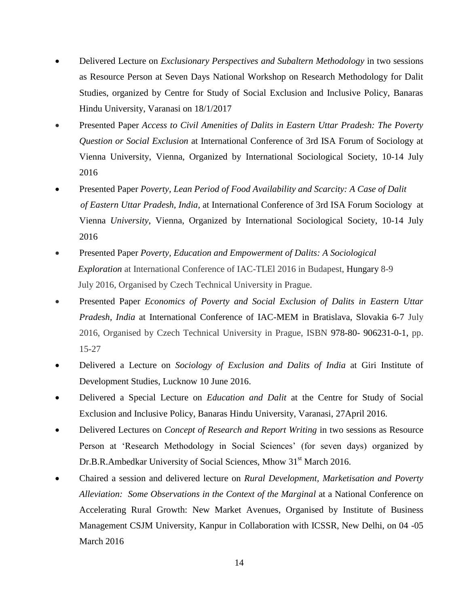- Delivered Lecture on *Exclusionary Perspectives and Subaltern Methodology* in two sessions as Resource Person at Seven Days National Workshop on Research Methodology for Dalit Studies, organized by Centre for Study of Social Exclusion and Inclusive Policy, Banaras Hindu University, Varanasi on 18/1/2017
- Presented Paper *Access to Civil Amenities of Dalits in Eastern Uttar Pradesh: The Poverty Question or Social Exclusion* at International Conference of 3rd ISA Forum of Sociology at Vienna University, Vienna, Organized by International Sociological Society, 10-14 July 2016
- Presented Paper *Poverty, Lean Period of Food Availability and Scarcity: A Case of Dalit of Eastern Uttar Pradesh, India,* at International Conference of 3rd ISA Forum Sociology at Vienna *University*, Vienna, Organized by International Sociological Society, 10-14 July 2016
- Presented Paper *Poverty, Education and Empowerment of Dalits: A Sociological Exploration* at International Conference of IAC-TLEl 2016 in Budapest, Hungary 8-9 July 2016, Organised by Czech Technical University in Prague.
- Presented Paper *Economics of Poverty and Social Exclusion of Dalits in Eastern Uttar Pradesh, India* at International Conference of IAC-MEM in Bratislava, Slovakia 6-7 July 2016, Organised by Czech Technical University in Prague, ISBN 978-80- 906231-0-1, pp. 15-27
- Delivered a Lecture on *Sociology of Exclusion and Dalits of India* at Giri Institute of Development Studies, Lucknow 10 June 2016.
- Delivered a Special Lecture on *Education and Dalit* at the Centre for Study of Social Exclusion and Inclusive Policy, Banaras Hindu University, Varanasi, 27April 2016.
- Delivered Lectures on *Concept of Research and Report Writing* in two sessions as Resource Person at 'Research Methodology in Social Sciences' (for seven days) organized by Dr.B.R.Ambedkar University of Social Sciences, Mhow 31<sup>st</sup> March 2016.
- Chaired a session and delivered lecture on *Rural Development, Marketisation and Poverty Alleviation: Some Observations in the Context of the Marginal* at a National Conference on Accelerating Rural Growth: New Market Avenues, Organised by Institute of Business Management CSJM University, Kanpur in Collaboration with ICSSR, New Delhi, on 04 -05 March 2016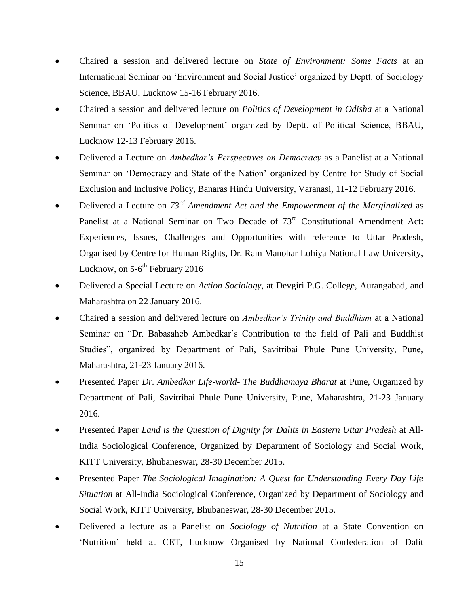- Chaired a session and delivered lecture on *State of Environment: Some Facts* at an International Seminar on 'Environment and Social Justice' organized by Deptt. of Sociology Science, BBAU, Lucknow 15-16 February 2016.
- Chaired a session and delivered lecture on *Politics of Development in Odisha* at a National Seminar on 'Politics of Development' organized by Deptt. of Political Science, BBAU, Lucknow 12-13 February 2016.
- Delivered a Lecture on *Ambedkar's Perspectives on Democracy* as a Panelist at a National Seminar on 'Democracy and State of the Nation' organized by Centre for Study of Social Exclusion and Inclusive Policy, Banaras Hindu University, Varanasi, 11-12 February 2016.
- Delivered a Lecture on  $73^{rd}$  *Amendment Act and the Empowerment of the Marginalized* as Panelist at a National Seminar on Two Decade of 73<sup>rd</sup> Constitutional Amendment Act: Experiences, Issues, Challenges and Opportunities with reference to Uttar Pradesh, Organised by Centre for Human Rights, Dr. Ram Manohar Lohiya National Law University, Lucknow, on 5-6<sup>th</sup> February 2016
- Delivered a Special Lecture on *Action Sociology,* at Devgiri P.G. College, Aurangabad, and Maharashtra on 22 January 2016.
- Chaired a session and delivered lecture on *Ambedkar's Trinity and Buddhism* at a National Seminar on "Dr. Babasaheb Ambedkar's Contribution to the field of Pali and Buddhist Studies", organized by Department of Pali, Savitribai Phule Pune University, Pune, Maharashtra, 21-23 January 2016.
- Presented Paper *Dr. Ambedkar Life-world- The Buddhamaya Bharat* at Pune, Organized by Department of Pali, Savitribai Phule Pune University, Pune, Maharashtra, 21-23 January 2016.
- Presented Paper *Land is the Question of Dignity for Dalits in Eastern Uttar Pradesh* at All-India Sociological Conference, Organized by Department of Sociology and Social Work, KITT University, Bhubaneswar, 28-30 December 2015.
- Presented Paper *The Sociological Imagination: A Quest for Understanding Every Day Life Situation* at All-India Sociological Conference, Organized by Department of Sociology and Social Work, KITT University, Bhubaneswar, 28-30 December 2015.
- Delivered a lecture as a Panelist on *Sociology of Nutrition* at a State Convention on 'Nutrition' held at CET, Lucknow Organised by National Confederation of Dalit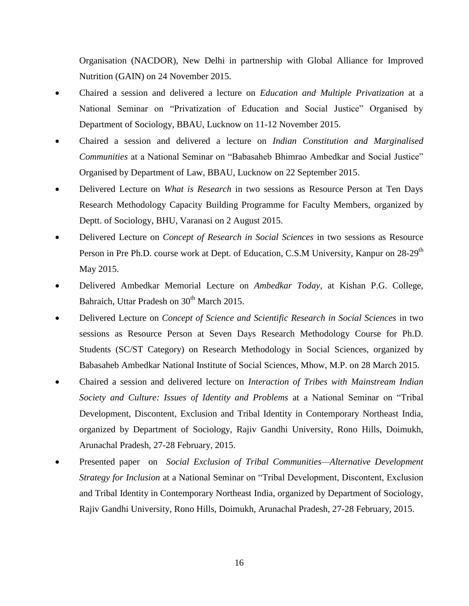Organisation (NACDOR), New Delhi in partnership with Global Alliance for Improved Nutrition (GAIN) on 24 November 2015.

- Chaired a session and delivered a lecture on *Education and Multiple Privatization* at a National Seminar on "Privatization of Education and Social Justice" Organised by Department of Sociology, BBAU, Lucknow on 11-12 November 2015.
- Chaired a session and delivered a lecture on *Indian Constitution and Marginalised Communities* at a National Seminar on "Babasaheb Bhimrao Ambedkar and Social Justice" Organised by Department of Law, BBAU, Lucknow on 22 September 2015.
- Delivered Lecture on *What is Research* in two sessions as Resource Person at Ten Days Research Methodology Capacity Building Programme for Faculty Members, organized by Deptt. of Sociology, BHU, Varanasi on 2 August 2015.
- Delivered Lecture on *Concept of Research in Social Sciences* in two sessions as Resource Person in Pre Ph.D. course work at Dept. of Education, C.S.M University, Kanpur on 28-29<sup>th</sup> May 2015.
- Delivered Ambedkar Memorial Lecture on *Ambedkar Today,* at Kishan P.G. College, Bahraich, Uttar Pradesh on  $30<sup>th</sup>$  March 2015.
- Delivered Lecture on *Concept of Science and Scientific Research in Social Sciences* in two sessions as Resource Person at Seven Days Research Methodology Course for Ph.D. Students (SC/ST Category) on Research Methodology in Social Sciences, organized by Babasaheb Ambedkar National Institute of Social Sciences, Mhow, M.P. on 28 March 2015.
- Chaired a session and delivered lecture on *Interaction of Tribes with Mainstream Indian Society and Culture: Issues of Identity and Problems* at a National Seminar on "Tribal Development, Discontent, Exclusion and Tribal Identity in Contemporary Northeast India, organized by Department of Sociology, Rajiv Gandhi University, Rono Hills, Doimukh, Arunachal Pradesh, 27-28 February, 2015.
- Presented paper on *Social Exclusion of Tribal Communities—Alternative Development Strategy for Inclusion* at a National Seminar on "Tribal Development, Discontent, Exclusion and Tribal Identity in Contemporary Northeast India, organized by Department of Sociology, Rajiv Gandhi University, Rono Hills, Doimukh, Arunachal Pradesh, 27-28 February, 2015.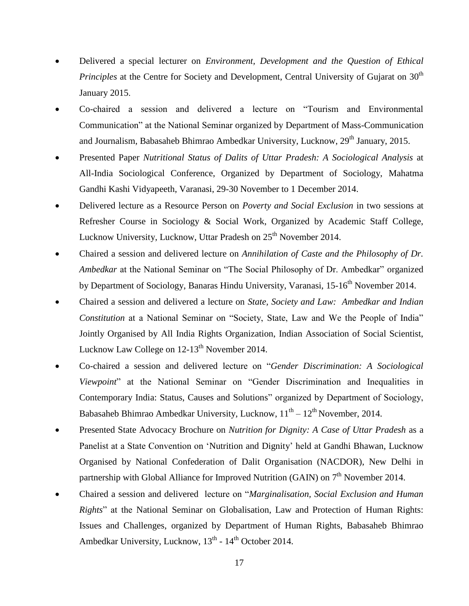- Delivered a special lecturer on *Environment, Development and the Question of Ethical Principles* at the Centre for Society and Development, Central University of Gujarat on 30<sup>th</sup> January 2015.
- Co-chaired a session and delivered a lecture on "Tourism and Environmental Communication" at the National Seminar organized by Department of Mass-Communication and Journalism, Babasaheb Bhimrao Ambedkar University, Lucknow, 29<sup>th</sup> January, 2015.
- Presented Paper *Nutritional Status of Dalits of Uttar Pradesh: A Sociological Analysis* at All-India Sociological Conference, Organized by Department of Sociology, Mahatma Gandhi Kashi Vidyapeeth, Varanasi, 29-30 November to 1 December 2014.
- Delivered lecture as a Resource Person on *Poverty and Social Exclusion* in two sessions at Refresher Course in Sociology & Social Work, Organized by Academic Staff College, Lucknow University, Lucknow, Uttar Pradesh on 25<sup>th</sup> November 2014.
- Chaired a session and delivered lecture on *Annihilation of Caste and the Philosophy of Dr. Ambedkar* at the National Seminar on "The Social Philosophy of Dr. Ambedkar" organized by Department of Sociology, Banaras Hindu University, Varanasi, 15-16<sup>th</sup> November 2014.
- Chaired a session and delivered a lecture on *State, Society and Law: Ambedkar and Indian Constitution* at a National Seminar on "Society, State, Law and We the People of India" Jointly Organised by All India Rights Organization, Indian Association of Social Scientist, Lucknow Law College on 12-13<sup>th</sup> November 2014.
- Co-chaired a session and delivered lecture on "*Gender Discrimination: A Sociological Viewpoint*" at the National Seminar on "Gender Discrimination and Inequalities in Contemporary India: Status, Causes and Solutions" organized by Department of Sociology, Babasaheb Bhimrao Ambedkar University, Lucknow,  $11<sup>th</sup> - 12<sup>th</sup>$  November, 2014.
- Presented State Advocacy Brochure on *Nutrition for Dignity: A Case of Uttar Pradesh* as a Panelist at a State Convention on 'Nutrition and Dignity' held at Gandhi Bhawan, Lucknow Organised by National Confederation of Dalit Organisation (NACDOR), New Delhi in partnership with Global Alliance for Improved Nutrition (GAIN) on  $7<sup>th</sup>$  November 2014.
- Chaired a session and delivered lecture on "*Marginalisation, Social Exclusion and Human Rights*" at the National Seminar on Globalisation, Law and Protection of Human Rights: Issues and Challenges, organized by Department of Human Rights, Babasaheb Bhimrao Ambedkar University, Lucknow,  $13<sup>th</sup>$  -  $14<sup>th</sup>$  October 2014.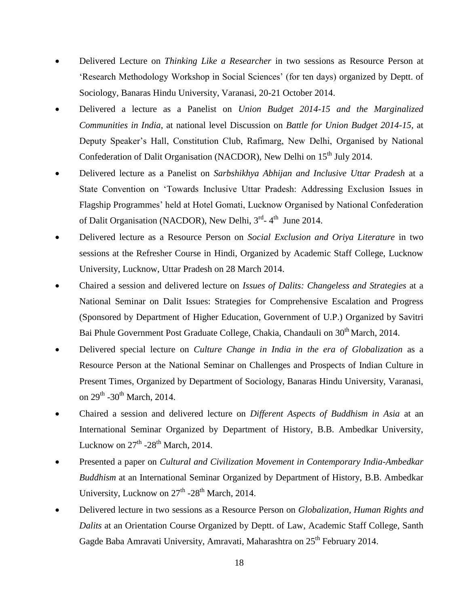- Delivered Lecture on *Thinking Like a Researcher* in two sessions as Resource Person at 'Research Methodology Workshop in Social Sciences' (for ten days) organized by Deptt. of Sociology, Banaras Hindu University, Varanasi, 20-21 October 2014.
- Delivered a lecture as a Panelist on *Union Budget 2014-15 and the Marginalized Communities in India*, at national level Discussion on *Battle for Union Budget 2014-15,* at Deputy Speaker's Hall, Constitution Club, Rafimarg, New Delhi, Organised by National Confederation of Dalit Organisation (NACDOR), New Delhi on 15<sup>th</sup> July 2014.
- Delivered lecture as a Panelist on *Sarbshikhya Abhijan and Inclusive Uttar Pradesh* at a State Convention on 'Towards Inclusive Uttar Pradesh: Addressing Exclusion Issues in Flagship Programmes' held at Hotel Gomati, Lucknow Organised by National Confederation of Dalit Organisation (NACDOR), New Delhi, 3<sup>rd</sup>-4<sup>th</sup> June 2014.
- Delivered lecture as a Resource Person on *Social Exclusion and Oriya Literature* in two sessions at the Refresher Course in Hindi, Organized by Academic Staff College, Lucknow University, Lucknow, Uttar Pradesh on 28 March 2014.
- Chaired a session and delivered lecture on *Issues of Dalits: Changeless and Strategies* at a National Seminar on Dalit Issues: Strategies for Comprehensive Escalation and Progress (Sponsored by Department of Higher Education, Government of U.P.) Organized by Savitri Bai Phule Government Post Graduate College, Chakia, Chandauli on 30<sup>th</sup> March, 2014.
- Delivered special lecture on *Culture Change in India in the era of Globalization* as a Resource Person at the National Seminar on Challenges and Prospects of Indian Culture in Present Times, Organized by Department of Sociology, Banaras Hindu University, Varanasi, on 29<sup>th</sup> -30<sup>th</sup> March, 2014.
- Chaired a session and delivered lecture on *Different Aspects of Buddhism in Asia* at an International Seminar Organized by Department of History, B.B. Ambedkar University, Lucknow on  $27^{\text{th}}$  -28<sup>th</sup> March, 2014.
- Presented a paper on *Cultural and Civilization Movement in Contemporary India-Ambedkar Buddhism* at an International Seminar Organized by Department of History, B.B. Ambedkar University, Lucknow on 27<sup>th</sup> -28<sup>th</sup> March, 2014.
- Delivered lecture in two sessions as a Resource Person on *Globalization, Human Rights and Dalits* at an Orientation Course Organized by Deptt. of Law, Academic Staff College, Santh Gagde Baba Amravati University, Amravati, Maharashtra on 25<sup>th</sup> February 2014.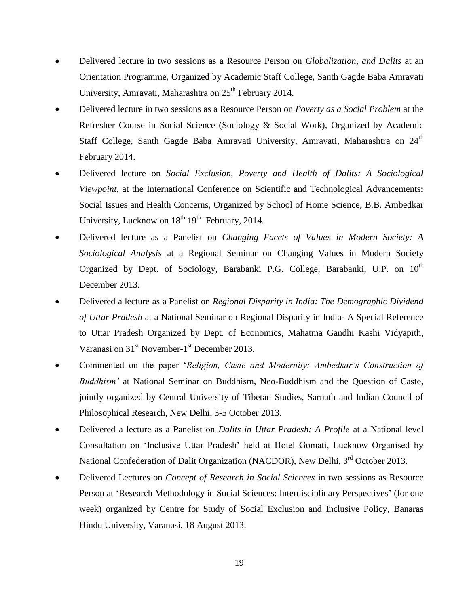- Delivered lecture in two sessions as a Resource Person on *Globalization, and Dalits* at an Orientation Programme, Organized by Academic Staff College, Santh Gagde Baba Amravati University, Amravati, Maharashtra on  $25<sup>th</sup>$  February 2014.
- Delivered lecture in two sessions as a Resource Person on *Poverty as a Social Problem* at the Refresher Course in Social Science (Sociology & Social Work), Organized by Academic Staff College, Santh Gagde Baba Amravati University, Amravati, Maharashtra on 24<sup>th</sup> February 2014.
- Delivered lecture on *Social Exclusion, Poverty and Health of Dalits: A Sociological Viewpoint,* at the International Conference on Scientific and Technological Advancements: Social Issues and Health Concerns, Organized by School of Home Science, B.B. Ambedkar University, Lucknow on  $18^{th}$  19<sup>th</sup> February, 2014.
- Delivered lecture as a Panelist on *Changing Facets of Values in Modern Society: A Sociological Analysis* at a Regional Seminar on Changing Values in Modern Society Organized by Dept. of Sociology, Barabanki P.G. College, Barabanki, U.P. on  $10<sup>th</sup>$ December 2013.
- Delivered a lecture as a Panelist on *Regional Disparity in India: The Demographic Dividend of Uttar Pradesh* at a National Seminar on Regional Disparity in India- A Special Reference to Uttar Pradesh Organized by Dept. of Economics, Mahatma Gandhi Kashi Vidyapith, Varanasi on 31<sup>st</sup> November-1<sup>st</sup> December 2013.
- Commented on the paper '*Religion, Caste and Modernity: Ambedkar's Construction of Buddhism'* at National Seminar on Buddhism, Neo-Buddhism and the Question of Caste, jointly organized by Central University of Tibetan Studies, Sarnath and Indian Council of Philosophical Research, New Delhi, 3-5 October 2013.
- Delivered a lecture as a Panelist on *Dalits in Uttar Pradesh: A Profile* at a National level Consultation on 'Inclusive Uttar Pradesh' held at Hotel Gomati, Lucknow Organised by National Confederation of Dalit Organization (NACDOR), New Delhi, 3<sup>rd</sup> October 2013.
- Delivered Lectures on *Concept of Research in Social Sciences* in two sessions as Resource Person at 'Research Methodology in Social Sciences: Interdisciplinary Perspectives' (for one week) organized by Centre for Study of Social Exclusion and Inclusive Policy, Banaras Hindu University, Varanasi, 18 August 2013.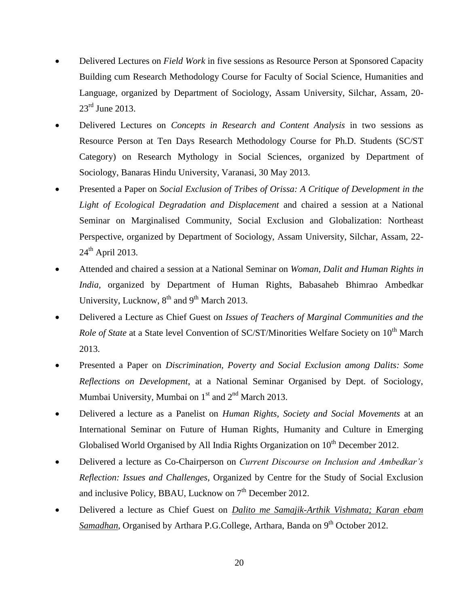- Delivered Lectures on *Field Work* in five sessions as Resource Person at Sponsored Capacity Building cum Research Methodology Course for Faculty of Social Science, Humanities and Language, organized by Department of Sociology, Assam University, Silchar, Assam, 20- 23<sup>rd</sup> June 2013.
- Delivered Lectures on *Concepts in Research and Content Analysis* in two sessions as Resource Person at Ten Days Research Methodology Course for Ph.D. Students (SC/ST Category) on Research Mythology in Social Sciences, organized by Department of Sociology, Banaras Hindu University, Varanasi, 30 May 2013.
- Presented a Paper on *Social Exclusion of Tribes of Orissa: A Critique of Development in the Light of Ecological Degradation and Displacement* and chaired a session at a National Seminar on Marginalised Community, Social Exclusion and Globalization: Northeast Perspective, organized by Department of Sociology, Assam University, Silchar, Assam, 22-  $24<sup>th</sup>$  April 2013.
- Attended and chaired a session at a National Seminar on *Woman, Dalit and Human Rights in India,* organized by Department of Human Rights, Babasaheb Bhimrao Ambedkar University, Lucknow,  $8<sup>th</sup>$  and  $9<sup>th</sup>$  March 2013.
- Delivered a Lecture as Chief Guest on *Issues of Teachers of Marginal Communities and the Role of State* at a State level Convention of SC/ST/Minorities Welfare Society on 10<sup>th</sup> March 2013.
- Presented a Paper on *Discrimination, Poverty and Social Exclusion among Dalits: Some Reflections on Development*, at a National Seminar Organised by Dept. of Sociology, Mumbai University, Mumbai on  $1<sup>st</sup>$  and  $2<sup>nd</sup>$  March 2013.
- Delivered a lecture as a Panelist on *Human Rights, Society and Social Movements* at an International Seminar on Future of Human Rights, Humanity and Culture in Emerging Globalised World Organised by All India Rights Organization on  $10<sup>th</sup>$  December 2012.
- Delivered a lecture as Co-Chairperson on *Current Discourse on Inclusion and Ambedkar's Reflection: Issues and Challenges*, Organized by Centre for the Study of Social Exclusion and inclusive Policy, BBAU, Lucknow on  $7<sup>th</sup>$  December 2012.
- Delivered a lecture as Chief Guest on *Dalito me Samajik-Arthik Vishmata; Karan ebam Samadhan*, Organised by Arthara P.G.College, Arthara, Banda on 9<sup>th</sup> October 2012.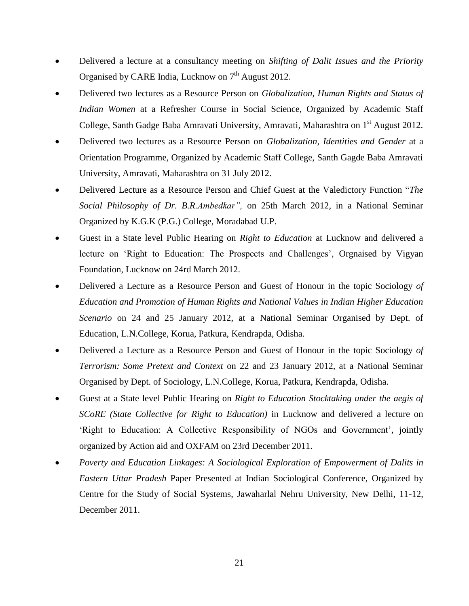- Delivered a lecture at a consultancy meeting on *Shifting of Dalit Issues and the Priority*  Organised by CARE India, Lucknow on  $7<sup>th</sup>$  August 2012.
- Delivered two lectures as a Resource Person on *Globalization, Human Rights and Status of Indian Women* at a Refresher Course in Social Science, Organized by Academic Staff College, Santh Gadge Baba Amravati University, Amravati, Maharashtra on 1<sup>st</sup> August 2012.
- Delivered two lectures as a Resource Person on *Globalization, Identities and Gender* at a Orientation Programme, Organized by Academic Staff College, Santh Gagde Baba Amravati University, Amravati, Maharashtra on 31 July 2012.
- Delivered Lecture as a Resource Person and Chief Guest at the Valedictory Function "*The Social Philosophy of Dr. B.R.Ambedkar",* on 25th March 2012, in a National Seminar Organized by K.G.K (P.G.) College, Moradabad U.P.
- Guest in a State level Public Hearing on *Right to Education* at Lucknow and delivered a lecture on 'Right to Education: The Prospects and Challenges', Orgnaised by Vigyan Foundation, Lucknow on 24rd March 2012.
- Delivered a Lecture as a Resource Person and Guest of Honour in the topic Sociology *of Education and Promotion of Human Rights and National Values in Indian Higher Education Scenario* on 24 and 25 January 2012, at a National Seminar Organised by Dept. of Education, L.N.College, Korua, Patkura, Kendrapda, Odisha.
- Delivered a Lecture as a Resource Person and Guest of Honour in the topic Sociology *of Terrorism: Some Pretext and Context* on 22 and 23 January 2012, at a National Seminar Organised by Dept. of Sociology, L.N.College, Korua, Patkura, Kendrapda, Odisha.
- Guest at a State level Public Hearing on *Right to Education Stocktaking under the aegis of SCoRE (State Collective for Right to Education)* in Lucknow and delivered a lecture on 'Right to Education: A Collective Responsibility of NGOs and Government', jointly organized by Action aid and OXFAM on 23rd December 2011.
- *Poverty and Education Linkages: A Sociological Exploration of Empowerment of Dalits in Eastern Uttar Pradesh* Paper Presented at Indian Sociological Conference, Organized by Centre for the Study of Social Systems, Jawaharlal Nehru University, New Delhi, 11-12, December 2011.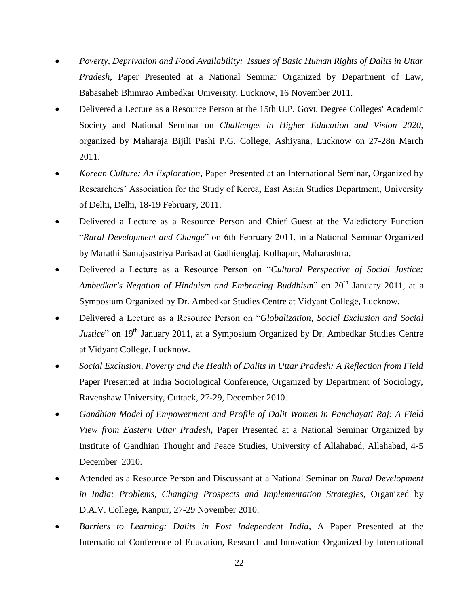- *Poverty, Deprivation and Food Availability: Issues of Basic Human Rights of Dalits in Uttar Pradesh*, Paper Presented at a National Seminar Organized by Department of Law, Babasaheb Bhimrao Ambedkar University, Lucknow, 16 November 2011.
- Delivered a Lecture as a Resource Person at the 15th U.P. Govt. Degree Colleges' Academic Society and National Seminar on *Challenges in Higher Education and Vision 2020,*  organized by Maharaja Bijili Pashi P.G. College, Ashiyana, Lucknow on 27-28n March 2011.
- *Korean Culture: An Exploration*, Paper Presented at an International Seminar, Organized by Researchers' Association for the Study of Korea, East Asian Studies Department, University of Delhi, Delhi, 18-19 February, 2011.
- Delivered a Lecture as a Resource Person and Chief Guest at the Valedictory Function "*Rural Development and Change*" on 6th February 2011, in a National Seminar Organized by Marathi Samajsastriya Parisad at Gadhienglaj, Kolhapur, Maharashtra.
- Delivered a Lecture as a Resource Person on "*Cultural Perspective of Social Justice: Ambedkar's Negation of Hinduism and Embracing Buddhism*" on 20<sup>th</sup> January 2011, at a Symposium Organized by Dr. Ambedkar Studies Centre at Vidyant College, Lucknow.
- Delivered a Lecture as a Resource Person on "*Globalization, Social Exclusion and Social Justice*" on 19<sup>th</sup> January 2011, at a Symposium Organized by Dr. Ambedkar Studies Centre at Vidyant College, Lucknow.
- *Social Exclusion, Poverty and the Health of Dalits in Uttar Pradesh: A Reflection from Field*  Paper Presented at India Sociological Conference, Organized by Department of Sociology, Ravenshaw University, Cuttack, 27-29, December 2010.
- *Gandhian Model of Empowerment and Profile of Dalit Women in Panchayati Raj: A Field View from Eastern Uttar Pradesh,* Paper Presented at a National Seminar Organized by Institute of Gandhian Thought and Peace Studies, University of Allahabad, Allahabad, 4-5 December 2010.
- Attended as a Resource Person and Discussant at a National Seminar on *Rural Development in India: Problems, Changing Prospects and Implementation Strategies*, Organized by D.A.V. College, Kanpur, 27-29 November 2010.
- *Barriers to Learning: Dalits in Post Independent India*, A Paper Presented at the International Conference of Education, Research and Innovation Organized by International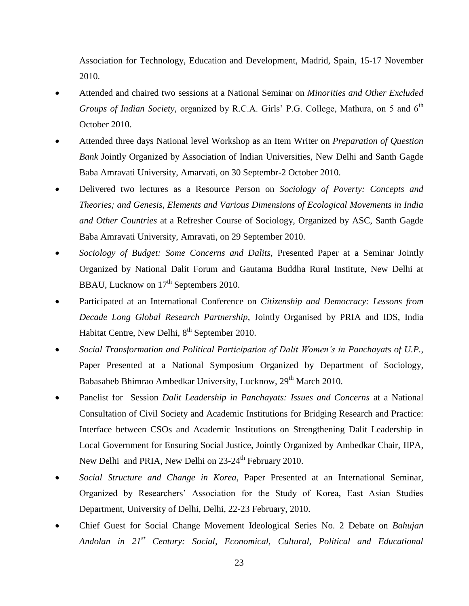Association for Technology, Education and Development, Madrid, Spain, 15-17 November 2010.

- Attended and chaired two sessions at a National Seminar on *Minorities and Other Excluded Groups of Indian Society, organized by R.C.A. Girls' P.G. College, Mathura, on 5 and 6<sup>th</sup>* October 2010.
- Attended three days National level Workshop as an Item Writer on *Preparation of Question Bank* Jointly Organized by Association of Indian Universities, New Delhi and Santh Gagde Baba Amravati University, Amarvati, on 30 Septembr-2 October 2010.
- Delivered two lectures as a Resource Person on *Sociology of Poverty: Concepts and Theories; and Genesis, Elements and Various Dimensions of Ecological Movements in India and Other Countries* at a Refresher Course of Sociology, Organized by ASC, Santh Gagde Baba Amravati University, Amravati, on 29 September 2010.
- *Sociology of Budget: Some Concerns and Dalits,* Presented Paper at a Seminar Jointly Organized by National Dalit Forum and Gautama Buddha Rural Institute, New Delhi at BBAU, Lucknow on 17<sup>th</sup> Septembers 2010.
- Participated at an International Conference on *Citizenship and Democracy: Lessons from Decade Long Global Research Partnership*, Jointly Organised by PRIA and IDS, India Habitat Centre, New Delhi, 8<sup>th</sup> September 2010.
- *Social Transformation and Political Participation of Dalit Women's in Panchayats of U.P.*, Paper Presented at a National Symposium Organized by Department of Sociology, Babasaheb Bhimrao Ambedkar University, Lucknow, 29<sup>th</sup> March 2010.
- Panelist for Session *Dalit Leadership in Panchayats: Issues and Concerns* at a National Consultation of Civil Society and Academic Institutions for Bridging Research and Practice: Interface between CSOs and Academic Institutions on Strengthening Dalit Leadership in Local Government for Ensuring Social Justice, Jointly Organized by Ambedkar Chair, IIPA, New Delhi and PRIA, New Delhi on 23-24<sup>th</sup> February 2010.
- *Social Structure and Change in Korea*, Paper Presented at an International Seminar, Organized by Researchers' Association for the Study of Korea, East Asian Studies Department, University of Delhi, Delhi, 22-23 February, 2010.
- Chief Guest for Social Change Movement Ideological Series No. 2 Debate on *Bahujan Andolan in 21st Century: Social, Economical, Cultural, Political and Educational*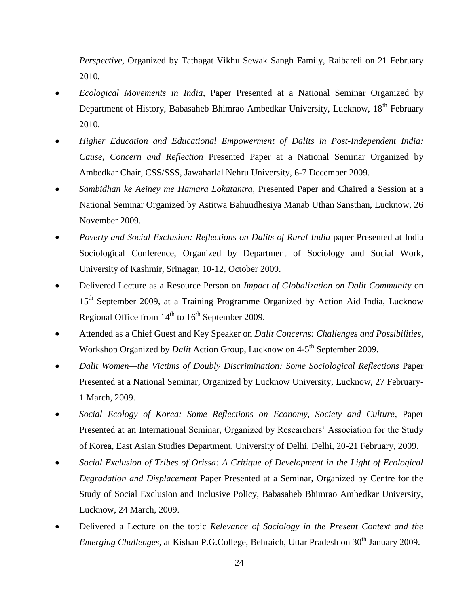*Perspective,* Organized by Tathagat Vikhu Sewak Sangh Family, Raibareli on 21 February 2010*.*

- *Ecological Movements in India*, Paper Presented at a National Seminar Organized by Department of History, Babasaheb Bhimrao Ambedkar University, Lucknow, 18<sup>th</sup> February 2010.
- *Higher Education and Educational Empowerment of Dalits in Post-Independent India: Cause, Concern and Reflection* Presented Paper at a National Seminar Organized by Ambedkar Chair, CSS/SSS, Jawaharlal Nehru University, 6-7 December 2009.
- *Sambidhan ke Aeiney me Hamara Lokatantra,* Presented Paper and Chaired a Session at a National Seminar Organized by Astitwa Bahuudhesiya Manab Uthan Sansthan, Lucknow, 26 November 2009.
- *Poverty and Social Exclusion: Reflections on Dalits of Rural India* paper Presented at India Sociological Conference, Organized by Department of Sociology and Social Work, University of Kashmir, Srinagar, 10-12, October 2009.
- Delivered Lecture as a Resource Person on *Impact of Globalization on Dalit Community* on 15<sup>th</sup> September 2009, at a Training Programme Organized by Action Aid India, Lucknow Regional Office from  $14<sup>th</sup>$  to  $16<sup>th</sup>$  September 2009.
- Attended as a Chief Guest and Key Speaker on *Dalit Concerns: Challenges and Possibilities*, Workshop Organized by *Dalit* Action Group, Lucknow on 4-5<sup>th</sup> September 2009.
- *Dalit Women—the Victims of Doubly Discrimination: Some Sociological Reflections* Paper Presented at a National Seminar, Organized by Lucknow University, Lucknow, 27 February-1 March, 2009.
- *Social Ecology of Korea: Some Reflections on Economy, Society and Culture*, Paper Presented at an International Seminar, Organized by Researchers' Association for the Study of Korea, East Asian Studies Department, University of Delhi, Delhi, 20-21 February, 2009.
- *Social Exclusion of Tribes of Orissa: A Critique of Development in the Light of Ecological Degradation and Displacement* Paper Presented at a Seminar, Organized by Centre for the Study of Social Exclusion and Inclusive Policy, Babasaheb Bhimrao Ambedkar University, Lucknow, 24 March, 2009.
- Delivered a Lecture on the topic *Relevance of Sociology in the Present Context and the Emerging Challenges, at Kishan P.G.College, Behraich, Uttar Pradesh on 30<sup>th</sup> January 2009.*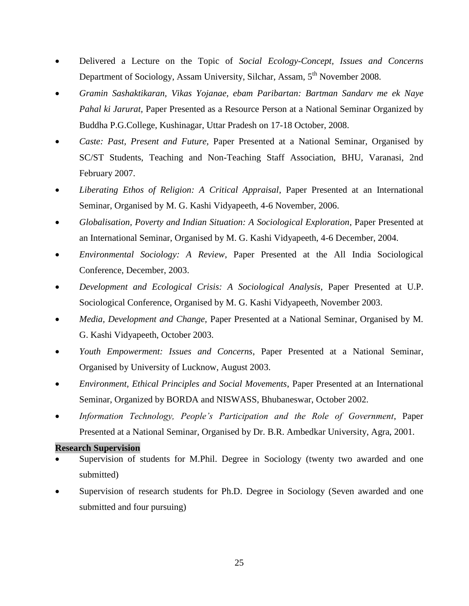- Delivered a Lecture on the Topic of *Social Ecology-Concept, Issues and Concerns* Department of Sociology, Assam University, Silchar, Assam, 5<sup>th</sup> November 2008.
- *Gramin Sashaktikaran, Vikas Yojanae, ebam Paribartan: Bartman Sandarv me ek Naye Pahal ki Jarurat,* Paper Presented as a Resource Person at a National Seminar Organized by Buddha P.G.College, Kushinagar, Uttar Pradesh on 17-18 October, 2008.
- *Caste: Past, Present and Future,* Paper Presented at a National Seminar, Organised by SC/ST Students, Teaching and Non-Teaching Staff Association, BHU, Varanasi, 2nd February 2007.
- *Liberating Ethos of Religion: A Critical Appraisal*, Paper Presented at an International Seminar, Organised by M. G. Kashi Vidyapeeth, 4-6 November, 2006.
- *Globalisation, Poverty and Indian Situation: A Sociological Exploration*, Paper Presented at an International Seminar, Organised by M. G. Kashi Vidyapeeth, 4-6 December, 2004.
- *Environmental Sociology: A Review*, Paper Presented at the All India Sociological Conference, December, 2003.
- *Development and Ecological Crisis: A Sociological Analysis*, Paper Presented at U.P. Sociological Conference, Organised by M. G. Kashi Vidyapeeth, November 2003.
- *Media, Development and Change,* Paper Presented at a National Seminar, Organised by M. G. Kashi Vidyapeeth, October 2003.
- *Youth Empowerment: Issues and Concerns*, Paper Presented at a National Seminar, Organised by University of Lucknow, August 2003.
- *Environment, Ethical Principles and Social Movements*, Paper Presented at an International Seminar, Organized by BORDA and NISWASS, Bhubaneswar, October 2002.
- *Information Technology, People's Participation and the Role of Government*, Paper Presented at a National Seminar, Organised by Dr. B.R. Ambedkar University, Agra, 2001.

#### **Research Supervision**

- Supervision of students for M.Phil. Degree in Sociology (twenty two awarded and one submitted)
- Supervision of research students for Ph.D. Degree in Sociology (Seven awarded and one submitted and four pursuing)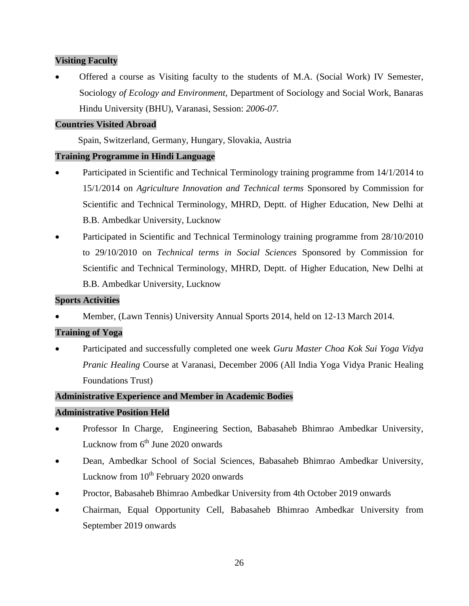## **Visiting Faculty**

 Offered a course as Visiting faculty to the students of M.A. (Social Work) IV Semester, Sociology *of Ecology and Environment,* Department of Sociology and Social Work, Banaras Hindu University (BHU), Varanasi, Session: *2006-07.*

## **Countries Visited Abroad**

Spain, Switzerland, Germany, Hungary, Slovakia, Austria

## **Training Programme in Hindi Language**

- Participated in Scientific and Technical Terminology training programme from 14/1/2014 to 15/1/2014 on *Agriculture Innovation and Technical terms* Sponsored by Commission for Scientific and Technical Terminology, MHRD, Deptt. of Higher Education, New Delhi at B.B. Ambedkar University, Lucknow
- Participated in Scientific and Technical Terminology training programme from 28/10/2010 to 29/10/2010 on *Technical terms in Social Sciences* Sponsored by Commission for Scientific and Technical Terminology, MHRD, Deptt. of Higher Education, New Delhi at B.B. Ambedkar University, Lucknow

## **Sports Activities**

Member, (Lawn Tennis) University Annual Sports 2014, held on 12-13 March 2014.

## **Training of Yoga**

 Participated and successfully completed one week *Guru Master Choa Kok Sui Yoga Vidya Pranic Healing* Course at Varanasi, December 2006 (All India Yoga Vidya Pranic Healing Foundations Trust)

## **Administrative Experience and Member in Academic Bodies**

## **Administrative Position Held**

- Professor In Charge, Engineering Section, Babasaheb Bhimrao Ambedkar University, Lucknow from  $6^{\text{th}}$  June 2020 onwards
- Dean, Ambedkar School of Social Sciences, Babasaheb Bhimrao Ambedkar University, Lucknow from  $10^{th}$  February 2020 onwards
- Proctor, Babasaheb Bhimrao Ambedkar University from 4th October 2019 onwards
- Chairman, Equal Opportunity Cell, Babasaheb Bhimrao Ambedkar University from September 2019 onwards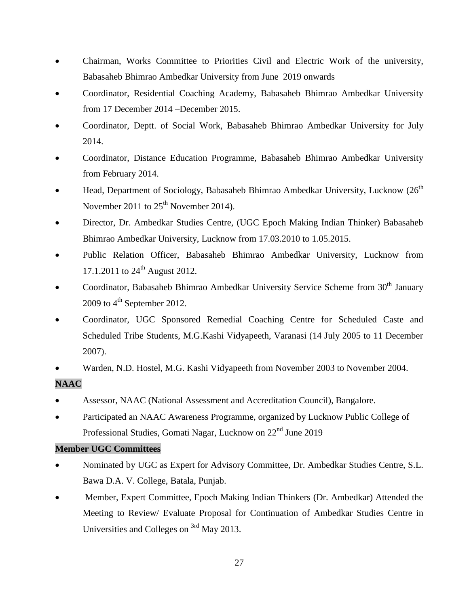- Chairman, Works Committee to Priorities Civil and Electric Work of the university, Babasaheb Bhimrao Ambedkar University from June 2019 onwards
- Coordinator, Residential Coaching Academy, Babasaheb Bhimrao Ambedkar University from 17 December 2014 –December 2015.
- Coordinator, Deptt. of Social Work, Babasaheb Bhimrao Ambedkar University for July 2014.
- Coordinator, Distance Education Programme, Babasaheb Bhimrao Ambedkar University from February 2014.
- **•** Head, Department of Sociology, Babasaheb Bhimrao Ambedkar University, Lucknow  $(26<sup>th</sup>)$ November 2011 to  $25<sup>th</sup>$  November 2014).
- Director, Dr. Ambedkar Studies Centre, (UGC Epoch Making Indian Thinker) Babasaheb Bhimrao Ambedkar University, Lucknow from 17.03.2010 to 1.05.2015.
- Public Relation Officer, Babasaheb Bhimrao Ambedkar University, Lucknow from 17.1.2011 to  $24^{\text{th}}$  August 2012.
- Coordinator, Babasaheb Bhimrao Ambedkar University Service Scheme from  $30<sup>th</sup>$  January 2009 to  $4^{\text{th}}$  September 2012.
- Coordinator, UGC Sponsored Remedial Coaching Centre for Scheduled Caste and Scheduled Tribe Students, M.G.Kashi Vidyapeeth, Varanasi (14 July 2005 to 11 December 2007).
- Warden, N.D. Hostel, M.G. Kashi Vidyapeeth from November 2003 to November 2004.

# **NAAC**

- Assessor, NAAC (National Assessment and Accreditation Council), Bangalore.
- Participated an NAAC Awareness Programme, organized by Lucknow Public College of Professional Studies, Gomati Nagar, Lucknow on 22nd June 2019

# **Member UGC Committees**

- Nominated by UGC as Expert for Advisory Committee, Dr. Ambedkar Studies Centre, S.L. Bawa D.A. V. College, Batala, Punjab.
- Member, Expert Committee, Epoch Making Indian Thinkers (Dr. Ambedkar) Attended the Meeting to Review/ Evaluate Proposal for Continuation of Ambedkar Studies Centre in Universities and Colleges on <sup>3rd</sup> May 2013.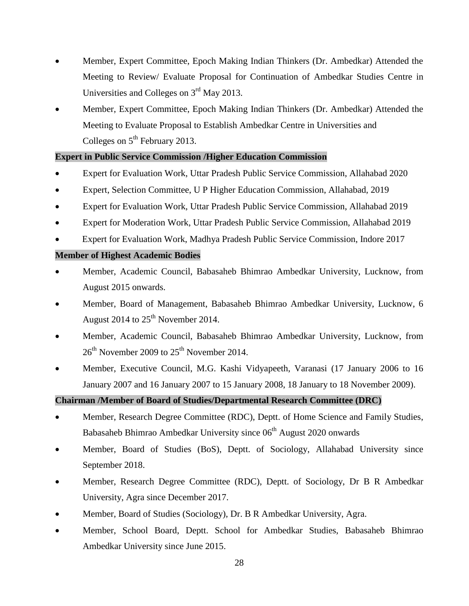- Member, Expert Committee, Epoch Making Indian Thinkers (Dr. Ambedkar) Attended the Meeting to Review/ Evaluate Proposal for Continuation of Ambedkar Studies Centre in Universities and Colleges on  $3<sup>rd</sup>$  May 2013.
- Member, Expert Committee, Epoch Making Indian Thinkers (Dr. Ambedkar) Attended the Meeting to Evaluate Proposal to Establish Ambedkar Centre in Universities and Colleges on  $5<sup>th</sup>$  February 2013.

## **Expert in Public Service Commission /Higher Education Commission**

- Expert for Evaluation Work, Uttar Pradesh Public Service Commission, Allahabad 2020
- Expert, Selection Committee, U P Higher Education Commission, Allahabad, 2019
- Expert for Evaluation Work, Uttar Pradesh Public Service Commission, Allahabad 2019
- Expert for Moderation Work, Uttar Pradesh Public Service Commission, Allahabad 2019
- Expert for Evaluation Work, Madhya Pradesh Public Service Commission, Indore 2017

### **Member of Highest Academic Bodies**

- Member, Academic Council, Babasaheb Bhimrao Ambedkar University, Lucknow, from August 2015 onwards.
- Member, Board of Management, Babasaheb Bhimrao Ambedkar University, Lucknow, 6 August 2014 to  $25<sup>th</sup>$  November 2014.
- Member, Academic Council, Babasaheb Bhimrao Ambedkar University, Lucknow, from  $26<sup>th</sup>$  November 2009 to  $25<sup>th</sup>$  November 2014.
- Member, Executive Council, M.G. Kashi Vidyapeeth, Varanasi (17 January 2006 to 16 January 2007 and 16 January 2007 to 15 January 2008, 18 January to 18 November 2009).

### **Chairman /Member of Board of Studies/Departmental Research Committee (DRC)**

- Member, Research Degree Committee (RDC), Deptt. of Home Science and Family Studies, Babasaheb Bhimrao Ambedkar University since 06<sup>th</sup> August 2020 onwards
- Member, Board of Studies (BoS), Deptt. of Sociology, Allahabad University since September 2018.
- Member, Research Degree Committee (RDC), Deptt. of Sociology, Dr B R Ambedkar University, Agra since December 2017.
- Member, Board of Studies (Sociology), Dr. B R Ambedkar University, Agra.
- Member, School Board, Deptt. School for Ambedkar Studies, Babasaheb Bhimrao Ambedkar University since June 2015.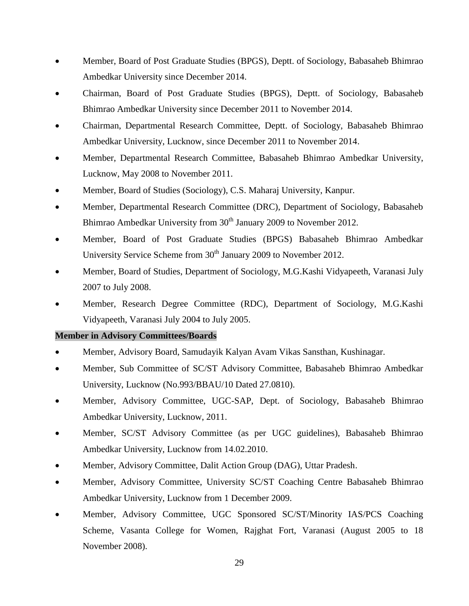- Member, Board of Post Graduate Studies (BPGS), Deptt. of Sociology, Babasaheb Bhimrao Ambedkar University since December 2014.
- Chairman, Board of Post Graduate Studies (BPGS), Deptt. of Sociology, Babasaheb Bhimrao Ambedkar University since December 2011 to November 2014.
- Chairman, Departmental Research Committee, Deptt. of Sociology, Babasaheb Bhimrao Ambedkar University, Lucknow, since December 2011 to November 2014.
- Member, Departmental Research Committee, Babasaheb Bhimrao Ambedkar University, Lucknow, May 2008 to November 2011.
- Member, Board of Studies (Sociology), C.S. Maharaj University, Kanpur.
- Member, Departmental Research Committee (DRC), Department of Sociology, Babasaheb Bhimrao Ambedkar University from 30<sup>th</sup> January 2009 to November 2012.
- Member, Board of Post Graduate Studies (BPGS) Babasaheb Bhimrao Ambedkar University Service Scheme from  $30<sup>th</sup>$  January 2009 to November 2012.
- Member, Board of Studies, Department of Sociology, M.G.Kashi Vidyapeeth, Varanasi July 2007 to July 2008.
- Member, Research Degree Committee (RDC), Department of Sociology, M.G.Kashi Vidyapeeth, Varanasi July 2004 to July 2005.

### **Member in Advisory Committees/Boards**

- Member, Advisory Board, Samudayik Kalyan Avam Vikas Sansthan, Kushinagar.
- Member, Sub Committee of SC/ST Advisory Committee, Babasaheb Bhimrao Ambedkar University, Lucknow (No.993/BBAU/10 Dated 27.0810).
- Member, Advisory Committee, UGC-SAP, Dept. of Sociology, Babasaheb Bhimrao Ambedkar University, Lucknow, 2011.
- Member, SC/ST Advisory Committee (as per UGC guidelines), Babasaheb Bhimrao Ambedkar University, Lucknow from 14.02.2010.
- Member, Advisory Committee, Dalit Action Group (DAG), Uttar Pradesh.
- Member, Advisory Committee, University SC/ST Coaching Centre Babasaheb Bhimrao Ambedkar University, Lucknow from 1 December 2009.
- Member, Advisory Committee, UGC Sponsored SC/ST/Minority IAS/PCS Coaching Scheme, Vasanta College for Women, Rajghat Fort, Varanasi (August 2005 to 18 November 2008).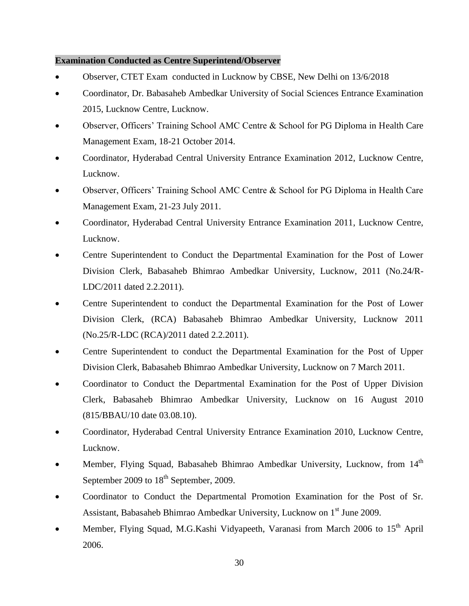## **Examination Conducted as Centre Superintend/Observer**

- Observer, CTET Exam conducted in Lucknow by CBSE, New Delhi on 13/6/2018
- Coordinator, Dr. Babasaheb Ambedkar University of Social Sciences Entrance Examination 2015, Lucknow Centre, Lucknow.
- Observer, Officers' Training School AMC Centre & School for PG Diploma in Health Care Management Exam, 18-21 October 2014.
- Coordinator, Hyderabad Central University Entrance Examination 2012, Lucknow Centre, Lucknow.
- Observer, Officers' Training School AMC Centre & School for PG Diploma in Health Care Management Exam, 21-23 July 2011.
- Coordinator, Hyderabad Central University Entrance Examination 2011, Lucknow Centre, Lucknow.
- Centre Superintendent to Conduct the Departmental Examination for the Post of Lower Division Clerk, Babasaheb Bhimrao Ambedkar University, Lucknow, 2011 (No.24/R-LDC/2011 dated 2.2.2011).
- Centre Superintendent to conduct the Departmental Examination for the Post of Lower Division Clerk, (RCA) Babasaheb Bhimrao Ambedkar University, Lucknow 2011 (No.25/R-LDC (RCA)/2011 dated 2.2.2011).
- Centre Superintendent to conduct the Departmental Examination for the Post of Upper Division Clerk, Babasaheb Bhimrao Ambedkar University, Lucknow on 7 March 2011.
- Coordinator to Conduct the Departmental Examination for the Post of Upper Division Clerk, Babasaheb Bhimrao Ambedkar University, Lucknow on 16 August 2010 (815/BBAU/10 date 03.08.10).
- Coordinator, Hyderabad Central University Entrance Examination 2010, Lucknow Centre, Lucknow.
- Member, Flying Squad, Babasaheb Bhimrao Ambedkar University, Lucknow, from  $14<sup>th</sup>$ September 2009 to  $18<sup>th</sup>$  September, 2009.
- Coordinator to Conduct the Departmental Promotion Examination for the Post of Sr. Assistant, Babasaheb Bhimrao Ambedkar University, Lucknow on 1<sup>st</sup> June 2009.
- Member, Flying Squad, M.G.Kashi Vidyapeeth, Varanasi from March 2006 to  $15<sup>th</sup>$  April 2006.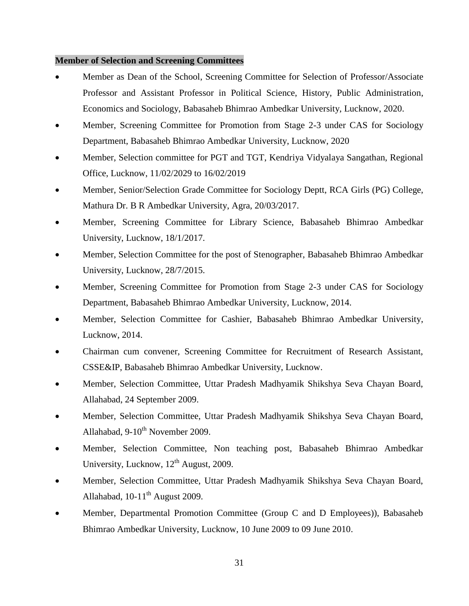#### **Member of Selection and Screening Committees**

- Member as Dean of the School, Screening Committee for Selection of Professor/Associate Professor and Assistant Professor in Political Science, History, Public Administration, Economics and Sociology, Babasaheb Bhimrao Ambedkar University, Lucknow, 2020.
- Member, Screening Committee for Promotion from Stage 2-3 under CAS for Sociology Department, Babasaheb Bhimrao Ambedkar University, Lucknow, 2020
- Member, Selection committee for PGT and TGT, Kendriya Vidyalaya Sangathan, Regional Office, Lucknow, 11/02/2029 to 16/02/2019
- Member, Senior/Selection Grade Committee for Sociology Deptt, RCA Girls (PG) College, Mathura Dr. B R Ambedkar University, Agra, 20/03/2017.
- Member, Screening Committee for Library Science, Babasaheb Bhimrao Ambedkar University, Lucknow, 18/1/2017.
- Member, Selection Committee for the post of Stenographer, Babasaheb Bhimrao Ambedkar University, Lucknow, 28/7/2015.
- Member, Screening Committee for Promotion from Stage 2-3 under CAS for Sociology Department, Babasaheb Bhimrao Ambedkar University, Lucknow, 2014.
- Member, Selection Committee for Cashier, Babasaheb Bhimrao Ambedkar University, Lucknow, 2014.
- Chairman cum convener, Screening Committee for Recruitment of Research Assistant, CSSE&IP, Babasaheb Bhimrao Ambedkar University, Lucknow.
- Member, Selection Committee, Uttar Pradesh Madhyamik Shikshya Seva Chayan Board, Allahabad, 24 September 2009.
- Member, Selection Committee, Uttar Pradesh Madhyamik Shikshya Seva Chayan Board, Allahabad,  $9-10^{th}$  November 2009.
- Member, Selection Committee, Non teaching post, Babasaheb Bhimrao Ambedkar University, Lucknow,  $12<sup>th</sup>$  August, 2009.
- Member, Selection Committee, Uttar Pradesh Madhyamik Shikshya Seva Chayan Board, Allahabad,  $10-11^{th}$  August 2009.
- Member, Departmental Promotion Committee (Group C and D Employees)), Babasaheb Bhimrao Ambedkar University, Lucknow, 10 June 2009 to 09 June 2010.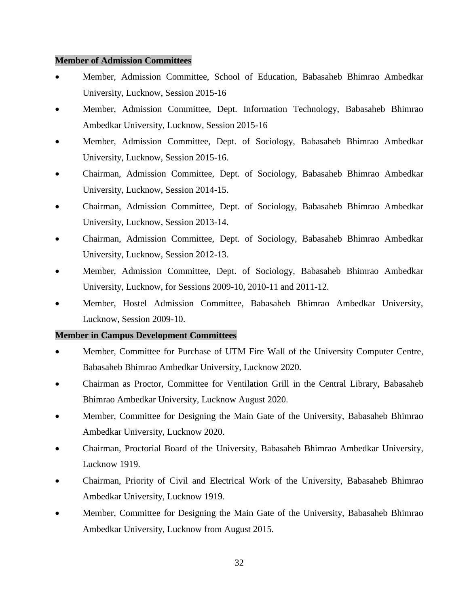#### **Member of Admission Committees**

- Member, Admission Committee, School of Education, Babasaheb Bhimrao Ambedkar University, Lucknow, Session 2015-16
- Member, Admission Committee, Dept. Information Technology, Babasaheb Bhimrao Ambedkar University, Lucknow, Session 2015-16
- Member, Admission Committee, Dept. of Sociology, Babasaheb Bhimrao Ambedkar University, Lucknow, Session 2015-16.
- Chairman, Admission Committee, Dept. of Sociology, Babasaheb Bhimrao Ambedkar University, Lucknow, Session 2014-15.
- Chairman, Admission Committee, Dept. of Sociology, Babasaheb Bhimrao Ambedkar University, Lucknow, Session 2013-14.
- Chairman, Admission Committee, Dept. of Sociology, Babasaheb Bhimrao Ambedkar University, Lucknow, Session 2012-13.
- Member, Admission Committee, Dept. of Sociology, Babasaheb Bhimrao Ambedkar University, Lucknow, for Sessions 2009-10, 2010-11 and 2011-12.
- Member, Hostel Admission Committee, Babasaheb Bhimrao Ambedkar University, Lucknow, Session 2009-10.

### **Member in Campus Development Committees**

- Member, Committee for Purchase of UTM Fire Wall of the University Computer Centre, Babasaheb Bhimrao Ambedkar University, Lucknow 2020.
- Chairman as Proctor, Committee for Ventilation Grill in the Central Library, Babasaheb Bhimrao Ambedkar University, Lucknow August 2020.
- Member, Committee for Designing the Main Gate of the University, Babasaheb Bhimrao Ambedkar University, Lucknow 2020.
- Chairman, Proctorial Board of the University, Babasaheb Bhimrao Ambedkar University, Lucknow 1919.
- Chairman, Priority of Civil and Electrical Work of the University, Babasaheb Bhimrao Ambedkar University, Lucknow 1919.
- Member, Committee for Designing the Main Gate of the University, Babasaheb Bhimrao Ambedkar University, Lucknow from August 2015.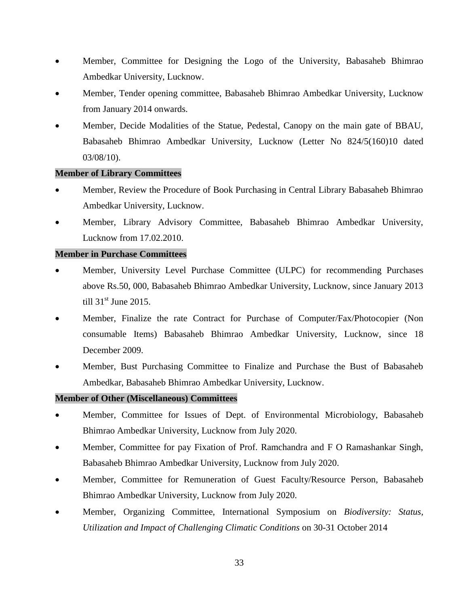- Member, Committee for Designing the Logo of the University, Babasaheb Bhimrao Ambedkar University, Lucknow.
- Member, Tender opening committee, Babasaheb Bhimrao Ambedkar University, Lucknow from January 2014 onwards.
- Member, Decide Modalities of the Statue, Pedestal, Canopy on the main gate of BBAU, Babasaheb Bhimrao Ambedkar University, Lucknow (Letter No 824/5(160)10 dated 03/08/10).

## **Member of Library Committees**

- Member, Review the Procedure of Book Purchasing in Central Library Babasaheb Bhimrao Ambedkar University, Lucknow.
- Member, Library Advisory Committee, Babasaheb Bhimrao Ambedkar University, Lucknow from 17.02.2010.

## **Member in Purchase Committees**

- Member, University Level Purchase Committee (ULPC) for recommending Purchases above Rs.50, 000, Babasaheb Bhimrao Ambedkar University, Lucknow, since January 2013 till  $31<sup>st</sup>$  June 2015.
- Member, Finalize the rate Contract for Purchase of Computer/Fax/Photocopier (Non consumable Items) Babasaheb Bhimrao Ambedkar University, Lucknow, since 18 December 2009.
- Member, Bust Purchasing Committee to Finalize and Purchase the Bust of Babasaheb Ambedkar, Babasaheb Bhimrao Ambedkar University, Lucknow.

### **Member of Other (Miscellaneous) Committees**

- Member, Committee for Issues of Dept. of Environmental Microbiology, Babasaheb Bhimrao Ambedkar University, Lucknow from July 2020.
- Member, Committee for pay Fixation of Prof. Ramchandra and F O Ramashankar Singh, Babasaheb Bhimrao Ambedkar University, Lucknow from July 2020.
- Member, Committee for Remuneration of Guest Faculty/Resource Person, Babasaheb Bhimrao Ambedkar University, Lucknow from July 2020.
- Member, Organizing Committee, International Symposium on *Biodiversity: Status, Utilization and Impact of Challenging Climatic Conditions* on 30-31 October 2014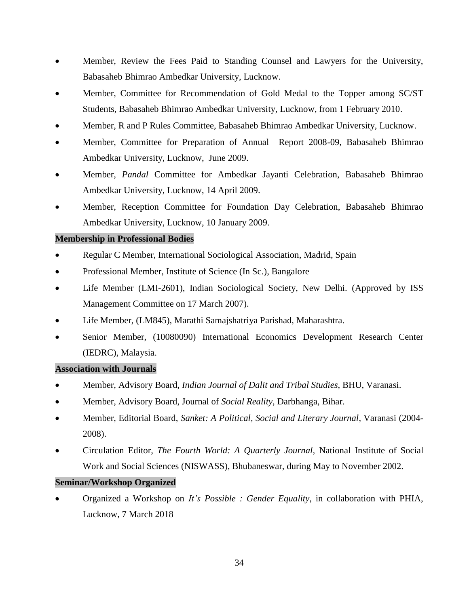- Member, Review the Fees Paid to Standing Counsel and Lawyers for the University, Babasaheb Bhimrao Ambedkar University, Lucknow.
- Member, Committee for Recommendation of Gold Medal to the Topper among SC/ST Students, Babasaheb Bhimrao Ambedkar University, Lucknow, from 1 February 2010.
- Member, R and P Rules Committee, Babasaheb Bhimrao Ambedkar University, Lucknow.
- Member, Committee for Preparation of Annual Report 2008-09, Babasaheb Bhimrao Ambedkar University, Lucknow, June 2009.
- Member, *Pandal* Committee for Ambedkar Jayanti Celebration, Babasaheb Bhimrao Ambedkar University, Lucknow, 14 April 2009.
- Member, Reception Committee for Foundation Day Celebration, Babasaheb Bhimrao Ambedkar University, Lucknow, 10 January 2009.

### **Membership in Professional Bodies**

- Regular C Member, International Sociological Association, Madrid, Spain
- Professional Member, Institute of Science (In Sc.), Bangalore
- Life Member (LMI-2601), Indian Sociological Society, New Delhi. (Approved by ISS Management Committee on 17 March 2007).
- Life Member, (LM845), Marathi Samajshatriya Parishad, Maharashtra.
- Senior Member, (10080090) International Economics Development Research Center (IEDRC), Malaysia.

### **Association with Journals**

- Member, Advisory Board, *Indian Journal of Dalit and Tribal Studies*, BHU, Varanasi.
- Member, Advisory Board, Journal of *Social Reality*, Darbhanga, Bihar.
- Member, Editorial Board, *Sanket: A Political, Social and Literary Journal*, Varanasi (2004- 2008).
- Circulation Editor, *The Fourth World: A Quarterly Journal,* National Institute of Social Work and Social Sciences (NISWASS), Bhubaneswar, during May to November 2002.

### **Seminar/Workshop Organized**

 Organized a Workshop on *It's Possible : Gender Equality*, in collaboration with PHIA, Lucknow, 7 March 2018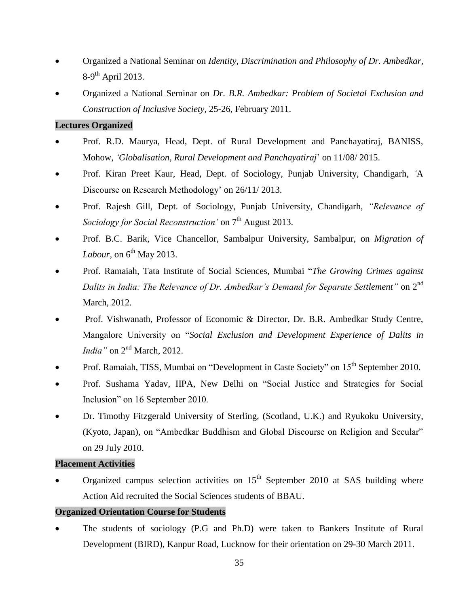- Organized a National Seminar on *Identity, Discrimination and Philosophy of Dr. Ambedkar,*  8-9<sup>th</sup> April 2013.
- Organized a National Seminar on *Dr. B.R. Ambedkar: Problem of Societal Exclusion and Construction of Inclusive Society,* 25-26, February 2011.

### **Lectures Organized**

- Prof. R.D. Maurya, Head, Dept. of Rural Development and Panchayatiraj, BANISS, Mohow, *'Globalisation, Rural Development and Panchayatiraj*' on 11/08/ 2015.
- Prof. Kiran Preet Kaur, Head, Dept. of Sociology, Punjab University, Chandigarh, *'*A Discourse on Research Methodology' on 26/11/ 2013.
- Prof. Rajesh Gill, Dept. of Sociology, Punjab University, Chandigarh, *"Relevance of Sociology for Social Reconstruction'* on  $7<sup>th</sup>$  August 2013.
- Prof. B.C. Barik, Vice Chancellor, Sambalpur University, Sambalpur, on *Migration of Labour*, on 6<sup>th</sup> May 2013.
- Prof. Ramaiah, Tata Institute of Social Sciences, Mumbai "*The Growing Crimes against*  Dalits in India: The Relevance of Dr. Ambedkar's Demand for Separate Settlement" on 2<sup>nd</sup> March, 2012.
- Prof. Vishwanath*,* Professor of Economic & Director, Dr. B.R. Ambedkar Study Centre, Mangalore University on "*Social Exclusion and Development Experience of Dalits in India*" on 2<sup>nd</sup> March, 2012.
- Prof. Ramaiah, TISS, Mumbai on "Development in Caste Society" on 15<sup>th</sup> September 2010.
- Prof. Sushama Yadav, IIPA, New Delhi on "Social Justice and Strategies for Social Inclusion" on 16 September 2010.
- Dr. Timothy Fitzgerald University of Sterling, (Scotland, U.K.) and Ryukoku University, (Kyoto, Japan), on "Ambedkar Buddhism and Global Discourse on Religion and Secular" on 29 July 2010.

### **Placement Activities**

Organized campus selection activities on  $15<sup>th</sup>$  September 2010 at SAS building where Action Aid recruited the Social Sciences students of BBAU.

### **Organized Orientation Course for Students**

 The students of sociology (P.G and Ph.D) were taken to Bankers Institute of Rural Development (BIRD), Kanpur Road, Lucknow for their orientation on 29-30 March 2011.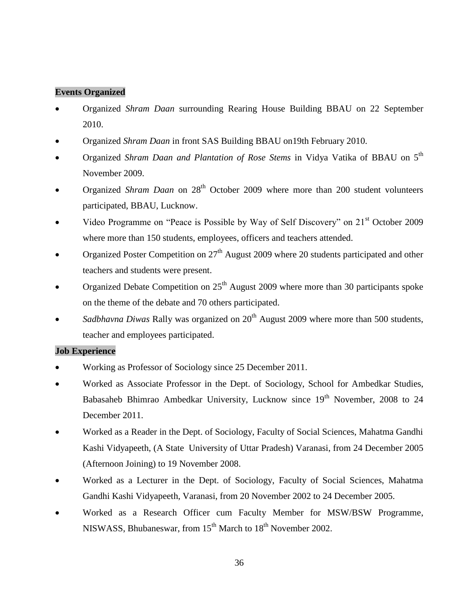## **Events Organized**

- Organized *Shram Daan* surrounding Rearing House Building BBAU on 22 September 2010.
- Organized *Shram Daan* in front SAS Building BBAU on19th February 2010.
- Organized *Shram Daan and Plantation of Rose Stems* in Vidya Vatika of BBAU on 5<sup>th</sup> November 2009.
- Organized *Shram Daan* on 28<sup>th</sup> October 2009 where more than 200 student volunteers participated, BBAU, Lucknow.
- Video Programme on "Peace is Possible by Way of Self Discovery" on 21<sup>st</sup> October 2009 where more than 150 students, employees, officers and teachers attended.
- Organized Poster Competition on  $27<sup>th</sup>$  August 2009 where 20 students participated and other teachers and students were present.
- Organized Debate Competition on  $25<sup>th</sup>$  August 2009 where more than 30 participants spoke on the theme of the debate and 70 others participated.
- *Sadbhavna Diwas* Rally was organized on 20<sup>th</sup> August 2009 where more than 500 students, teacher and employees participated.

### **Job Experience**

- Working as Professor of Sociology since 25 December 2011.
- Worked as Associate Professor in the Dept. of Sociology, School for Ambedkar Studies, Babasaheb Bhimrao Ambedkar University, Lucknow since 19<sup>th</sup> November, 2008 to 24 December 2011.
- Worked as a Reader in the Dept. of Sociology, Faculty of Social Sciences, Mahatma Gandhi Kashi Vidyapeeth, (A State University of Uttar Pradesh) Varanasi, from 24 December 2005 (Afternoon Joining) to 19 November 2008.
- Worked as a Lecturer in the Dept. of Sociology, Faculty of Social Sciences, Mahatma Gandhi Kashi Vidyapeeth, Varanasi, from 20 November 2002 to 24 December 2005.
- Worked as a Research Officer cum Faculty Member for MSW/BSW Programme, NISWASS, Bhubaneswar, from  $15<sup>th</sup>$  March to  $18<sup>th</sup>$  November 2002.